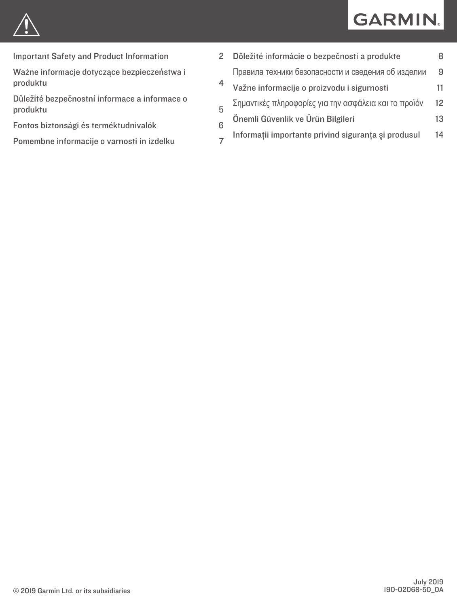



[Important Safety and Product Information](#page-1-0) 2

[Ważne informacje dotyczące bezpieczeństwa i](#page-3-0) [produktu](#page-3-0) 4

[Důležité bezpečnostní informace a informace o](#page-4-0) [produktu](#page-4-0)

- [Fontos biztonsági és terméktudnivalók](#page-5-0) 6
- [Pomembne informacije o varnosti in izdelku](#page-6-0) 7

| 2 | Dôležité informácie o bezpečnosti a produkte          |    |
|---|-------------------------------------------------------|----|
|   | Правила техники безопасности и сведения об изделии    | 9  |
|   | Važne informacije o proizvodu i sigurnosti            |    |
|   | Σημαντικές πληροφορίες για την ασφάλεια και το προϊόν | 12 |
|   | Önemli Güvenlik ve Ürün Bilgileri                     | 13 |
|   | Informații importante privind siguranța și produsul   | 14 |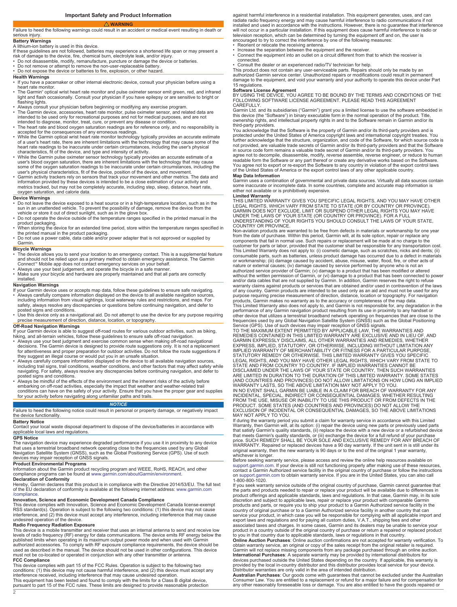# **Important Safety and Product Information**

### <span id="page-1-0"></span> **WARNING** Failure to heed the following warnings could result in an accident or medical event resulting in death or serious injury.

## **Battery Warnings**

# A lithium-ion battery is used in this device.

If these guidelines are not followed, batteries may experience a shortened life span or may present a<br>risk of damage to the device, fire, chemical burn, electrolyte leak, and/or injury.<br>▪ Do not disassemble, modify, reman

- 
- Do not remove or attempt to remove the non-user-replaceable battery. Do not expose the device or batteries to fire, explosion, or other hazard.
- 

# **Health Warnings**

- If you have a pacemaker or other internal electronic device, consult your physician before using a heart rate monitor.
- The Garmin® optical wrist heart rate monitor and pulse oximeter sensor emit green, red, and infrared light and flash occasionally. Consult your physician if you have epilepsy or are sensitive to bright or flashing lights.
- Always consult your physician before beginning or modifying any exercise program. • The Garmin device, accessories, heart rate monitor, pulse oximeter sensor, and related data are intended to be used only for recreational purposes and not for medical purposes, and are not
- intended to diagnose, monitor, treat, cure, or prevent any disease or condition. The heart rate and blood oxygen saturation readings are for reference only, and no responsibility is
- 
- accepted for the consequences of any erroneous readings.<br>• While the Garmin optical wrist heart rate monitor technology typically provides an accurate estimate<br>of a user's heart rate, there are inherent limitations with th
- While the Garmin pulse oximeter sensor technology typically provides an accurate estimate of a<br>user's blood oxygen saturation, there are inherent limitations with the technology that may cause<br>some of the oxygen saturati
- Garmin activity trackers rely on sensors that track your movement and other metrics. The data and information provided by these devices is intended to be a close estimation of your activity and metrics tracked, but may not be completely accurate, including step, sleep, distance, heart rate, oxygen saturation, and calorie data.

# **Device Warnings**

- Do not leave the device exposed to a heat source or in a high-temperature location, such as in the sun in an unattended vehicle. To prevent the possibility of damage, remove the device from the vehicle or store it out of direct sunlight, such as in the glove box.
- Do not operate the device outside of the temperature ranges specified in the printed manual in the
- product packaging. When storing the device for an extended time period, store within the temperature ranges specified in the printed manual in the product packaging.
- Do not use a power cable, data cable and/or power adapter that is not approved or supplied by Garmin.

## **Bicycle Warnings**

- The device allows you to send your location to an emergency contact. This is a supplemental feature and should not be relied upon as a primary method to obtain emergency assistance. The Garmin \_ Connect™ Mobile app does not contact emergency services on your behalf.<br>• Always use your best judgement, and operate the bicycle in a safe manner.<br>• Make sure your bicycle and hardware are properly maintained and tha
- 
- installed.

## **Navigation Warnings**

- If your Garmin device uses or accepts map data, follow these guidelines to ensure safe navigating. • Always carefully compare information displayed on the device to all available navigation sources, including information from visual sightings, local waterway rules and restrictions, and maps. For safety, always resolve any discrepancies or questions before continuing navigation, and defer to posted signs and conditions.
- Use this device only as a navigational aid. Do not attempt to use the device for any purpose requiring precise measurement of direction, distance, location, or topography.

# **Off-Road Navigation Warnings**

If your Garmin device is able to suggest off-road routes for various outdoor activities, such as biking, hiking, and all-terrain vehicles, follow these guidelines to ensure safe off-road navigation.

- Always use your best judgment and exercise common sense when making off-road navigational<br>decisions. The Garmin device is designed to provide route suggestions only. It is not a replacement<br>for attentiveness and proper p
- Always carefully compare information displayed on the device to all available navigation sources, including trail signs, trail conditions, weather conditions, and other factors that may affect safety while navigating. Fo
- embarking on off-road activities, especially the impact that weather and weather-related trail<br>conditions can have on the safety of your activity. Ensure that you have the proper gear and supplies<br>for your activity before

## *NOTICE*

Failure to heed the following notice could result in personal or property damage, or negatively impact the device functionality.

### **Battery Notice**

Contact your local waste disposal department to dispose of the device/batteries in accordance with applicable local laws and regulations.

# **GPS Notice**

The navigation device may experience degraded performance if you use it in proximity to any device<br>that uses a terrestrial broadband network operating close to the frequencies used by any Global<br>Navigation Satellite System devices may impair reception of GNSS signals.

# **Product Environmental Programs**

Information about the Garmin product recycling program and WEEE, RoHS, REACH, and other compliance programs can be found at [www.garmin.com/aboutGarmin/environment](http://www.garmin.com/aboutGarmin/environment).

**Declaration of Conformity**<br>Hereby, Garmin declares that this product is in compliance with the Directive 2014/53/EU. The full text<br>of the EU declaration of conformity is available at the following internet address: www.ga [/compliance](http://www.garmin.com/compliance).

## **Innovation, Science and Economic Development Canada Compliance**

This device complies with Innovation, Science and Economic Development Canada license-exempt RSS standard(s). Operation is subject to the following two conditions: (1) this device may not cause interference, and (2) this device must accept any interference, including interference that may cause undesired operation of the device.

**Radio Frequency Radiation Exposure**<br>This device is a mobile transmitter and receiver that uses an internal antenna to send and receive low<br>This device is a mobile transmitter and receiver that uses an internal antenna b s must not be co-located or operated in conjunction with any other transmitter or antenna.

**FCC Compliance**

This device complies with part 15 of the FCC Rules. Operation is subject to the following two<br>conditions: (1) this device may not cause harmful interference, and (2) this device must accept any<br>interference received, inclu

against harmful interference in a residential installation. This equipment generates, uses, and can radiate radio frequency energy and may cause harmful interference to radio communications if not installed and used in accordance with the instructions. However, there is no guarantee that interference will not occur in a particular installation. If this equipment does cause harmful interference to radio or television reception, which can be determined by turning the equipment off and on, the user is<br>
encouraged to try to correct the interference by one of the following measures:<br>
• Reorient or relocate the receiving antenna.

- 
- connected.
- Consult the dealer or an experienced radio/TV technician for help.
- 

This product does not contain any user-serviceable parts. Repairs should only be made by an authorized Garmin service center. Unauthorized repairs or modifications could result in permanent damage to the equipment, and void your warranty and your authority to operate this device under Part 15 regulations.

**Software License Agreement**<br>BY USING THE DEVICE, YOU AGREE TO BE BOUND BY THE TERMS AND CONDITIONS OF THE<br>FOLLOWING SOFTWARE LICENSE AGREEMENT. PLEASE READ THIS AGREEMENT CAREFULLY.

Garmin Ltd. and its subsidiaries ("Garmin") grant you a limited license to use the software embedded in this device (the "Software") in binary executable form in the normal operation of the product. Title, ownership rights, and intellectual property rights in and to the Software remain in Garmin and/or its third-party providers.

You acknowledge that the Software is the property of Garmin and/or its third-party providers and is protected under the United States of America copyright laws and international copyright treaties. You<br>further acknowledge that the structure, organization, and code of the Software, for which source code is<br>not provided, a agree not to decompile, disassemble, modify, reverse assemble, reverse engineer, or reduce to human readable form the Software or any part thereof or create any derivative works based on the Software. You agree not to export or re-export the Software to any country in violation of the export control laws of the United States of America or the export control laws of any other applicable country. **Map Data Information**

Garmin uses a combination of governmental and private data sources. Virtually all data sources contain<br>some inaccurate or incomplete data. In some countries, complete and accurate map information is<br>either not available or

**Limited Warranty** THIS LIMITED WARRANTY GIVES YOU SPECIFIC LEGAL RIGHTS, AND YOU MAY HAVE OTHER LEGAL RIGHTS, WHICH VARY FROM STATE TO STATE (OR BY COUNTRY OR PROVINCE). GARMIN DOES NOT EXCLUDE, LIMIT OR SUSPEND OTHER LEGAL RIGHTS YOU MAY HAVE UNDER THE LAWS OF YOUR STATE (OR COUNTRY OR PROVINCE). FOR A FULL UNDERSTANDING OF YOUR RIGHTS YOU SHOULD CONSULT THE LAWS OF YOUR STATE,

COUNTRY OR PROVINCE. Non-aviation products are warranted to be free from defects in materials or workmanship for one year from the date of purchase. Within this period, Garmin will, at its sole option, repair or replace any<br>components that fail in normal use. Such repairs or replacement will be made at no charge to the<br>customer for parts or l consumable parts, such as batteries, unless product damage has occurred due to a defect in materials or workmanship; (iii) damage caused by accident, abuse, misuse, water, flood, fire, or other acts of nature or external causes; (iv) damage caused by service performed by anyone who is not an<br>authorized service provider of Garmin; (v) damage to a product that has been modified or altered<br>without the written permission of of any country. Garmin products are intended to be used only as an aid and must not be used for any purpose requiring precise measurement of direction, distance, location or topography. For navigation products, Garmin makes no warranty as to the accuracy or completeness of the map data. This Limited Warranty also does not apply to, and Garmin is not responsible for, any degradation in the

performance of any Garmin navigation product resulting from its use in proximity to any handset or<br>other device that utilizes a terrestrial broadband network operating on frequencies that are close to the<br>frequencies used STATUTORY REMEDY OR OTHERWISE. THIS LIMITED WARRANTY GIVES YOU SPECIFIC<br>LEGAL RIGHTS, AND YOU MAY HAVE OTHER LEGAL RIGHTS, WHICH VARY FROM STATE TO<br>STATE AND FROM COUNTRY TO COUNTRY. IF IMPLIED WARRANTIES CANNOT BE<br>DISCLAI

FROM THE USE, MISUSE OR INABILITY TO USE THIS PRODUCT OR FROM DEFECTS IN THE<br>PRODUCT. SOME STATES (AND COUNTRIES AND PROVINCES) DO NOT ALLOW THE<br>EXCLUSION OF INCIDENTAL OR CONSEQUENTIAL DAMAGES, SO THE ABOVE LIMITATIONS<br>MA

If during the warranty period you submit a claim for warranty service in accordance with this Limited<br>Warranty, then Garmin will, at its option: (i) repair the device using new parts or previously used parts<br>that satisfy G original warranty, then the new warranty is 90 days or to the end of the original 1 year warranty, whichever is longer.

Before seeking warranty service, please access and review the online help resources available on<br>[support.garmin.com.](http://www.support.garmin.com) If your device is still not functioning properly after making use of these resources,<br>contact a Garmin Au 1-800-800-1020.

If you seek warranty service outside of the original country of purchase, Garmin cannot guarantee that the parts and products needed to repair or replace your product will be available due to differences in<br>product offerings and applicable standards, laws and regulations. In that case, Garmin may, in its sole<br>discretion and products and parts, or require you to ship your product to a Garmin Authorized service facility in the<br>country of original purchase or to a Garmin Authorized service facility in another country that can<br>service your produc associated taxes and charges. In some cases, Garmin and its dealers may be unable to service your product in a country outside of the original country of purchase or return a repaired or replaced product

to you in that country due to applicable standards, laws or regulations in that country. **Online Auction Purchases**: Online auction confirmations are not accepted for warranty verification. To obtain warranty service, an original or copy of the sales receipt from the original retailer is required. Garmin will not replace missing components from any package purchased through an online auction. I**nternational Purchases**: A separate warranty may be provided by international distributors for<br>devices purchased outside the United States depending on the country. If applicable, this warranty is<br>provided by the local i

Distributor warranties are only valid in the area of intended distribution. **Australian Purchases**: Our goods come with guarantees that cannot be excluded under the Australian Consumer Law. You are entitled to a replacement or refund for a major failure and for compensation for any other reasonably foreseeable loss or damage. You are also entitled to have the goods repaired or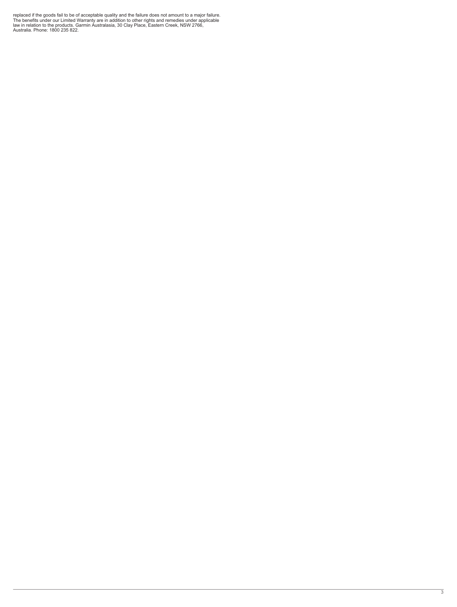replaced if the goods fail to be of acceptable quality and the failure does not amount to a major failure.<br>The benefits under our Limited Warranty are in addition to other rights and remedies under applicable<br>law in relati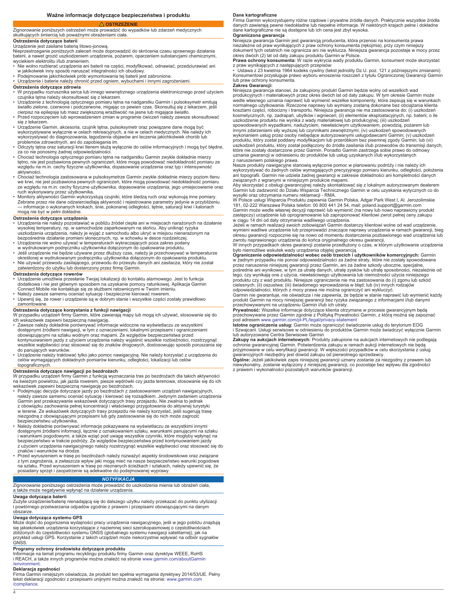# <span id="page-3-0"></span>Zignorowanie poniższych ostrzeżeń może prowadzić do wypadków lub zdarzeń medycznych

### skutkujących śmiercią lub poważnymi obrażeniami ciała. **Ostrzeżenia dotyczące baterii**

# Urządzenie jest zasilane baterią litowo-jonową.

Nieprzestrzeganie poniższych zaleceń może doprowadzić do skrócenia czasu sprawnego działania baterii, a nawet grozić uszkodzeniem urządzenia, pożarem, oparzeniem substancjami chemicznymi, wyciekiem elektrolitu i/lub zranieniem.

• Nie wolno rozbierać urządzenia ani baterii na części, modyfikować, odnawiać, przedziurawiać ani<br>• Podejmowanie jamy sposób naruszać integralności ich obudowy.<br>• Podejmowanie jakichkolwiek prób wymontowania tej baterii je

- 
- 

# **Ostrzeżenia dotyczące zdrowia**

• W przypadku rozrusznika serca lub innego wewnętrznego urządzenia elektronicznego przed użyciem czujnika tętna należy skonsultować się z lekarzem.

- Urządzenie z technologią optycznego pomiaru tętna na nadgarstku Garmin i pulsoksymetr emitują światło zielone, czerwone i podczerwone, migając co pewien czas. Skonsultuj się z lekarzem, jeśli
- cierpisz na epilepsję lub masz zwiększoną wrażliwość na jasne lub migające światło. Przed rozpoczęciem lub wprowadzeniem zmian w programie ćwiczeń należy zawsze skonsultować się z lekarzem.
- Urządzenie Garmin, akcesoria, czujnik tętna, pulsoksymetr oraz powiązane dane mogą być wykorzystywane wyłącznie w celach rekreacyjnych, a nie w celach medycznych. Nie należy ich wykorzystywać do diagnozowania, łagodzenia objawów ani leczenia jakichkolwiek chorób lub problemów zdrowotnych, ani do zapobiegania im.
- Odczyty tętna oraz saturacji krwi tlenem służą wyłącznie do celów informacyjnych i mogą być błędne, za co nie ponosimy żadnej odpowiedzialności.
- Chociaż technologia optycznego pomiaru tętna na nadgarstku Garmin zwykle dokładnie mierzy<br>tętno, nie jest pozbawiona pewnych ograniczeń, które mogą powodować niedokładność pomiaru ze<br>względu na m.in. cechy fizyczne użyt aktywności.
- Chociaż technologia zastosowana w pulsoksymetrze Garmin zwykle dokładnie mierzy poziom tlenu we krwi, nie jest pozbawiona pewnych ograniczeń, które mogą powodować niedokładność pomiaru ze względu na m.in. cechy fizyczne użytkownika, dopasowanie urządzenia, jego umiejscowienie oraz<br>ruch wykonywany przez użytkownika.<br>• Monitory aktywności Garmin wykorzystują czujniki, które śledzą ruch oraz wykonują inne
- Zebrane przez nie dane odzwierciedlają aktywność i rejestrowane parametry jedynie w przybliżeniu<br>— informacje o wykonanych krokach, śnie, pokonanej odległości, tętnie, saturacji krwi i kaloriach<br>mogą nie być w pełni dokład

# **Ostrzeżenia dotyczące urządzenia**

- Urządzenia nie należy pozostawiać w pobliżu źródeł ciepła ani w miejscach narażonych na działanie<br> wysokiej temperatury, np. w samochodzie zaparkowanym na słońcu. Aby uniknąć ryzyka<br> uszkodzenia urządzenia, należy je
- bezpośrednie działanie promieni słonecznych, np. w schowku w desce rozdzielczej. Urządzenia nie wolno używać w temperaturach wykraczających poza zakres podany
- 
- w wydrukowanym podręczniku użytkownika dołączonym do opakowania produktu.<br>• Jeśli urządzenie nie będzie używane przez dłuższy czas, należy je przechowywać w temperaturze<br>• Określonej w wydrukowanym podręczniku użytkownika zatwierdzony do użytku lub dostarczony przez firmę Garmin.

# **Ostrzeżenia dotyczące rowerów**

- Urządzenie umożliwia przesłanie Twojej lokalizacji do kontaktu alarmowego. Jest to funkcja dodatkowa i nie jest głównym sposobem na uzyskanie pomocy ratunkowej. Aplikacja Garmin<br>Connect Mobile nie kontaktuje się ze służbami ratowniczymi w Twoim imieniu.<br>• Należy zawsze samemu oceniać sytuację i bezpiecznie kiero
- 
- zamontowane.

- **Ostrzeżenia dotyczące korzystania z funkcji nawigacji**<br>W przypadku urządzeń firmy Garmin, które zawierają mapy lub mogą ich używać, stosowanie się do<br>ich wskazówek zapewni bezpieczną nawigację.
- Zawsze należy dokładnie porównywać informacje widoczne na wyświetlaczu ze wszystkimi<br>dostępnymi źródłami nawigacji, w tym z oznaczeniami, lokalnymi przepisami i ograniczeniami<br>obowiązującymi na szlaku wodnym oraz mapami. wszelkie wątpliwości oraz stosować się do znaków drogowych, dostosowując sposób poruszania się do panujących warunków.
- Urządzenie należy traktować tylko jako pomoc nawigacyjną. Nie należy korzystać z urządzenia do celów wymagających dokładnych pomiarów kierunku, odległości, lokalizacji lub celów topograficznych.

**Ostrzeżenia dotyczące nawigacji po bezdrożach**<br>W przypadku urządzeń firmy Garmin z funkcją wyznaczania tras po bezdrożach dla takich aktywności<br>na świeżym powietrzu, jak jazda rowerem, piesze wędrówki czy jazda terenowa, wskazówek zapewni bezpieczną nawigację po bezdrożach.

- Podejmując decyzje dotyczące jazdy po bezdrożach z zastosowaniem urządzeń nawigacyjnych,<br>należy zawsze samemu oceniać sytuację i kierować się rozsądkiem. Jedynym zadaniem urządzenia<br>Garmin jest przekazywanie wskazówek do z obowiązku zachowania pełnej koncentracji i właściwego przygotowania do aktywnej turystyki w terenie. Ze wskazówek dotyczących trasy przejazdu nie należy korzystać, jeśli sugerują trasę niezgodną z obowiązującymi przepisami lub gdy zastosowanie się do nich może zagrozić bezpieczeństwu użytkownika.
- Należy dokładnie porównywać informacje pokazywane na wyświetlaczu ze wszystkimi innymi dostępnymi źródłami informacji, łącznie z oznakowaniem szlaku, warunkami panującymi na szlaku i warunkami pogodowymi, a także wziąć pod uwagę wszystkie czynniki, które mogłyby wpłynąć na bezpieczeństwo w trakcie podróży. Ze względów bezpieczeństwa przed kontynuowaniem jazdy z użyciem urządzenia nawigacyjnego należy rozstrzygnąć wszelkie wątpliwości oraz stosować się do
- znaków i warunków na drodze.<br>• Przed wyruszeniem w trasę po bezdrożach należy rozważyć aspekty środowiskowe oraz związane<br>• z tym zagrożenia, a zwłaszcza wpływ jaki mogą mieć na nasze bezpieczeństwo warunki pogodowe na szlaku. Przed wyruszeniem w trasę po nieznanych ścieżkach i szlakach, należy upewnić się, że posiadany sprzęt i zaopatrzenie są adekwatne do podejmowanej wyprawy.

# *NOTYFIKACJA*

Zignorowanie poniższego ostrzeżenia może prowadzić do uszkodzenia mienia lub obrażeń ciała, a także może negatywnie wpłynąć na działanie urządzenia.

### **Uwaga dotycząca baterii**

Zużyte urządzenie/baterię nienadającą się do dalszego użytku należy przekazać do punktu utylizacji i powtórnego przetwarzania odpadów zgodnie z prawem i przepisami obowiązującymi na danym obszarze.

## **Uwaga dotycząca systemu GPS**

Może dojść do pogorszenia wydajności pracy urządzenia nawigacyjnego, jeśli w jego pobliżu znajdują<br>się jakiekolwiek urządzenia korzystające z naziemnej sieci szerokopasmowej o częstotliwościach<br>zbliżonych do częstotliwości

**Programy ochrony środowiska dotyczące produktu**<br>Informacje na temat programu recyklingu produktu firmy Garmin oraz dyrektyw WEEE, RoHS<br>i REACH, a także innych programów można znaleźć na stronie [www.garmin.com/aboutGarmin](http://www.garmin.com/aboutGarmin/environment) [/environment.](http://www.garmin.com/aboutGarmin/environment)

### **Deklaracja zgodności**

Firma Garmin niniejszym oświadcza, że produkt ten spełnia wymagania dyrektywy 2014/53/UE. Pełny tekst deklaracji zgodności z przepisami unijnymi można znaleźć na stronie: [www.garmin.com](http://www.garmin.com/compliance) [/compliance](http://www.garmin.com/compliance).

### **Dane kartograficzne**

Firma Garmin wykorzystujemy różne rządowe i prywatne źródła danych. Praktycznie wszystkie źródła danych zawierają pewne niedokładne lub niepełne informacje. W niektórych krajach pełne i dokładne dane kartograficzne nie są dostępne lub ich cena jest zbyt wysoka.

**Ograniczona gwarancja** Niniejsza gwarancja Garmin jest gwarancją producenta, która przenosi na konsumenta prawa niezależne od praw wynikających z praw ochrony konsumenta (rękojmia), przy czym niniejszy<br>dokument tych ostatnich nie ogranicza ani nie wyklucza. Niniejsza gwarancja pozostaje w mocy przez<br>okres dwóch (2) lat od daty zakup

**Prawa ochrony konsumenta:** W razie wykrycia wady produktu Garmin, konsument może skorzystać z praw wynikających z następujących przepisów: • Ustawa z 23 kwietnia 1964 kodeks cywilny (tekst jednolity Dz.U. poz. 121 z późniejszymi zmianami)

Konsumentowi przysługuje prawo wyboru wnoszenia roszczeń z tytułu Ograniczonej Gwarancji Garmin lub praw ochrony konsumenta. **Zakres Gwarancji:**

Niniejsza gwarancja stanowi, że zakupiony produkt Garmin będzie wolny od wszelkich wad<br>produkcyjnych i materiałowych przez okres dwóch lat od daty zakupu. W tym okresie Garmin może<br>wedle własnego uznania naprawić lub wymie kosztami części, robocizny i transportu. Niniejsza gwarancja nie ma zastosowania do: (i) uszkodzeń kosmetycznych, np. zadrapań, ubytków i wgnieceń; (ii) elementów eksploatacyjnych, np. baterii, o ile

uszkodzenie produktu nie wynika z wady materiałowej lub produkcyjnej; (iii) uszkodzeń<br>spowodowanych wypadkami, nadużyciem, niewłaściwym użytkowaniem, powodzią, pożarem lub<br>innymi zdarzeniami siły wyższej lub czynnikami zew produktu, który został poddany modyfikacjom lub przeróbkom bez pisemnej zgody Garmin; lub (vi)<br>uszkodzeń produktu, który został podłączony do źródła zasilania i/lub przewodów do transmisji danych,<br>które nie zostały dostarc uznania gwarancji w odniesieniu do produktów lub usług uzyskanych i/lub wykorzystanych z naruszeniem polskiego prawa.

Nasze produkty nawigacyjne stanowią wyłącznie pomoc w planowaniu podróży i nie należy ich<br>wykorzystywać do żadnych celów wymagających precyzyjnego pomiaru kierunku, odległości, położenia<br>ani topografii. Garmin nie udziela

Aby skorzystać z obsługi gwarancyjnej należy skontaktować się z lokalnym autoryzowanym dealerem Garmin lub zadzwonić do Działu Wsparcia Technicznego Garmin w celu uzyskania wytycznych co do

wysyłki oraz otrzymania numeru reklamacji - RMA.<br>W Polsce usługi Wsparcia Produktu zapewnia Garmin Polska, Adgar Park West I, Al. Jerozolimskie<br>181, 02-222 Warszawa Polska telefon: 00 800 441 24 54, mail: poland.support@ga zastępczy) urządzenie lub oprogramowanie lub zaproponować klientowi zwrot pełnej ceny zakupu<br>w ciągu 14 dni od daty otrzymania wadliwego urządzenia.<br>Jeżeli w ramach realizacji swoich zobowiązań Garmin dostarczy klientowi w

wymieni wadliwe urządzenie lub przeprowadzi znaczące naprawy urządzenia w ramach gwarancji, bieg okresu gwarancji rozpocznie się na nowo od momentu dostarczenia pozbawionego wad urządzenia lub<br>zwrotu naprawionego urządzenia do końca oryginalnego okresu gwarancji.<br>W innych przypadkach okres gwarancji zostanie przedłużo

było niemożliwe wskutek wady urządzenia objętej gwarancją. **Ograniczenie odpowiedzialności wobec osób trzecich i użytkowników komercyjnych:** Garmin

w żadnym przypadku nie ponosi odpowiedzialności za żadne straty, które nie zostały spowodowane<br>przez naruszenie niniejszej gwarancji przez Garmin, ani za żadne szkody uboczne, specjalne,<br>pośrednie ani wynikowe, w tym za ut produktu czy z wad produktu. Niniejsze ograniczenie nie ma zastosowania do (i) zgonu lub szkód<br>cielesnych; (ii) oszustwa; (iii) świadomego wprowadzenia w błąd; lub (iv) innych rodzajów<br>odpowiedzialności, których z mocy pra

produkt Garmin na mocy niniejszej gwarancji bez ryzyka związanego z informacjami i/lub danymi

przechowywanymi na urządzeniu Garmin i/lub ich utraty.<br>**Prywatność:** Wszelkie informacje dotyczące klienta otrzymane w procesie gwarancyjnym będą<br>przechowywane przez Garmin zgodnie z Polityką Prywatności Garmin, z którą mo

**Istotne ograniczenia usług:** Garmin może ograniczyć świadczenie usług do terytorium EOG i Szwajcarii. Usługi serwisowe w odniesieniu do produktów Garmin może świadczyć wyłącznie Garmin lub autoryzowane Centra Serwisowe Garmin

**Zakupy na aukcjach internetowych:** Produkty zakupione na aukcjach internetowych nie podlegają<br>ochronie gwarancyjnej Garmin. Potwierdzenia zakupu w ramach aukcji internetowych nie będą<br>przyjmowane w celu weryfikacji gwaran

gwarancyjnych niezbędny jest dowód zakupu od pierwotnego sprzedawcy. **Ogólne:** Jeżeli jakikolwiek zapis niniejszej gwarancji uznany zostanie za niezgodny z prawem lub niewykonalny, zostanie wyłączony z niniejszej gwarancji, co pozostaje bez wpływu dla zgodności z prawem i wykonalności pozostałych warunków gwarancji.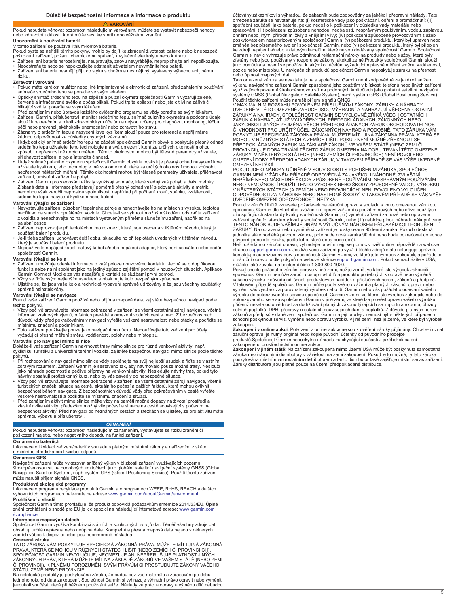### <span id="page-4-0"></span>Pokud nebudete věnovat pozornost následujícím varováním, můžete se vystavit nebezpečí nehody nebo zdravotní události, která může vést ke smrti nebo vážnému zranění. **Upozornění k používání baterií**

V tomto zařízení se používá lithium-iontová baterie. Pokud byste se neřídili těmito pokyny, mohlo by dojít ke zkrácení životnosti baterie nebo k nebezpečí<br>poškození zařízení, požáru, chemickému spálení, k vytečení elektrolytu nebo k úrazu.<br>• Zařízení ani baterie nerozebírej

• Neodstraňujte nebo se nepokoušejte odstranit uživatelem nevyměnitelnou baterii. • Zařízení ani baterie nesmějí přijít do styku s ohněm a nesmějí být vystaveny výbuchu ani jinému

riziku.

- **Zdravotní varování** Pokud máte kardiostimulátor nebo jiné implantované elektronické zařízení, před zahájením používání
- snímače srdečního tepu se poraďte se svým lékařem.<br>• Optický snímač srdečního tepu na zápěstí a pulzní oxymetr společnosti Garmin vyzařují zelené,<br>· červené a infračervené světlo a občas blikají. Pokud trpíte epilepsií n blikající světla, poraďte se svým lékařem.
- Před zahájením nebo úpravou každého cvičebního programu se vždy poraďte se svým lékařem.<br>• Zařízení Garmin, příslušenství, monitor srdečního tepu, snímač pulzního oxymetru a podobné údaje<br>• slouží k rekreačním a nikol
- péči nebo prevenci jakéhokoliv onemocnění nebo zdravotního stavu.
- Záznamy o srdečním tepu a nasycení krve kyslíkem slouží pouze pro referenci a nepřijímáme<br>⊃žádnou odpovědnost za důsledky chybných záznamů.<br>• I když optický snímač srdečního tepu na zápěstí společnosti Garmin obvykle po srdečního tepu uživatele, jeho technologie má svá omezení, která za určitých okolností mohou způsobit nepřesnost některých měření. Těmito okolnostmi mohou být tělesné parametry uživatele, přiléhavost zařízení a typ a intenzita činnosti.
- I když snímač pulzního oxymetru společnosti Garmin obvykle poskytuje přesný odhad nasycení krve<br>Vživatele kyslíkem, jeho technologie má svá omezení, která za určitých okolností mohou způsobit<br>nepřesnost některých měření
- zařízení, umístění zařízení a pohyb. Zařízení Garmin pro sledování aktivity využívají snímače, které sledují váš pohyb a další metriky. Získaná data a informace představují poměrně přesný odhad vaší sledované aktivity a metrik, nemohou však zaručit naprostou spolehlivost, například při počítání kroků, spánku, vzdálenosti, srdečního tepu, nasycení kyslíkem nebo kalorií.

## **Varování týkající se zařízení**

• Nevystavujte zařízení působení tepelného zdroje a nenechávejte ho na místech s vysokou teplotou, například na slunci v opuštěném vozidle. Chcete-li se vyhnout možným škodám, odstraňte zařízení z vozidla a nenechávejte ho na místech vystaveným přímému slunečnímu záření, například na

- palubní desce. Zařízení neprovozujte při teplotách mimo rozmezí, která jsou uvedena v tištěném návodu, který je součástí balení produktu.
- Je-li třeba zařízení uchovávat delší dobu, skladujte ho při teplotách uvedených v tištěném návodu, který je součástí balení produktu.
- Nepoužívejte napájecí kabel, datový kabel a/nebo napájecí adaptér, který není schválen nebo dodán společností Garmin.

## **Varování týkající se kola**

- ∙ Zařízení umožňuje odeslat informace o vaší poloze nouzovému kontaktu. Jedná se o doplňkovou<br>- funkci a nelze na ni spoléhat jako na jediný způsob zajištění pomoci v nouzových situacích. Aplikace<br>- Garmin Connect Mobile • Vždy se řiďte svým nejlepším úsudkem a obsluhujte kolo bezpečným způsobem.
- Ujistěte se, že jsou vaše kolo a technické vybavení správně udržovány a že jsou všechny součástky správně nainstalovány.

# **Varování týkající se navigace**

Pokud vaše zařízení Garmin používá nebo přijímá mapová data, zajistěte bezpečnou navigaci podle těchto pokynů.

- Vždy pečlivě srovnávejte informace zobrazené v zařízení se všemi ostatními zdroji navigace, včetně informací zrakových vjemů, místních pravidel a omezení vodních cest a map. Z bezpečnostních důvodů vždy před pokračováním v navigaci vyřešte veškeré nesrovnalosti nebo otázky a podřiďte se
- místnímu značení a podmínkám.<br>• Toto zařízení používejte pouze jako navigační pomůcku. Nepoužívejte toto zařízení pro účely<br>• vyžadující přesné měření směru, vzdálenosti, polohy nebo místopisu.

**Varování pro navigaci mimo silnice**<br>Dokáže-li vaše zařízení Garmin navrhovat trasy mimo silnice pro různé venkovní aktivity, např.<br>cyklistiku, turistiku a univerzální terénní vozidla, zajistěte bezpečnou navigaci mimo sil pokynů.

- Při rozhodování o navigaci mimo silnice vždy spoléhejte na svůj nejlepší úsudek a řidte se vlastním<br>zdravým rozumem. Zařízení Garmin je sestaveno tak, aby navrhovalo pouze možné trasy. Neslouží<br>jako náhrada pozornosti a
- turistických značek, situace na cestě, aktuálního počasí a dalších faktorů, které mohou ovlivnit bezpečnost během navigace. Z bezpečnostních důvodů vždy před pokračováním v cestě vyřešte<br>veškeré nesrovnalosti a podřídte se místnímu značení a situaci.<br>• Před zahájením aktivit mimo silnice mějte vždy na paměti možné do
- vlastní rizika aktivity, především možný vliv počasí a situace na cestě související s počasím na bezpečnost aktivity. Před navigací po neznámých cestách a stezkách se ujistěte, že pro aktivitu máte správnou výbavu a příslušenství.

## *OZNÁMENÍ*

Pokud nebudete věnovat pozornost následujícím oznámením, vystavujete se riziku zranění či poškození majetku nebo negativního dopadu na funkci zařízení.

## **Oznámení o bateriích**

Informace o likvidaci zařízení/baterií v souladu s platnými místními zákony a nařízeními získáte u místního střediska pro likvidaci odpadů.

## **Oznámení GPS**

Navigační zařízení může vykazovat snížený výkon v blízkosti zařízení využívajících pozemní širokopásmovou síť na podobných kmitočtech jako globální satelitní navigační systémy GNSS (Global Navigation Satellite System), např. systém GPS (Global Positioning Service). Použití těchto zařízení může narušit příjem signálů GNSS.

# **Produktové ekologické programy**

Informace o programu recyklace produktů Garmin a o programech WEEE, RoHS, REACH a dalších vyhovujících programech naleznete na adrese [www.garmin.com/aboutGarmin/environment](http://www.garmin.com/aboutGarmin/environment).

**Prohlášení o shodě** Společnost Garmin tímto prohlašuje, že produkt odpovídá požadavkům směrnice 2014/53/EU. Úplné znění prohlášení o shodě pro EU je k dispozici na následující internetové adrese: [www.garmin.com](http://www.garmin.com/compliance) [/compliance](http://www.garmin.com/compliance).

# **Informace o mapových datech**

Společnost Garmin využívá kombinaci státních a soukromých zdrojů dat. Téměř všechny zdroje dat obsahují určitá nepřesná nebo neúplná data. Kompletní a přesná mapová data nejsou v některých zemích vůbec k dispozici nebo jsou nepřiměřeně nákladná.

**Omezená záruka**<br>TATO ZÁRUKA VÁM POSKYTUJE SPECIFICKÁ ZÁKONNÁ PRÁVA. MŮŽETE MÍT I JINÁ ZÁKONNÁ PRÁVA, KTERÁ SE MOHOU V RŮZNÝCH STÁTECH LIŠIT (NEBO ZEMÍCH ČI PROVINCIÍCH).<br>SPOLEČNOST GARMIN NEVYLUČUJE, NEOMEZUJE ANI NEPŘERUŠUJE PLATNOST JINÝCH<br>ZÁKONNÝCH PRÁV, KTERÁ MŮŽETE MÍT NA ZÁKLADĚ ZÁKONŮ VE VAŠEM STÁTĚ (NEBO ZE STÁTU, ZEMĚ NEBO PROVINCIE. Na neletecké produkty je poskytována záruka, že budou bez vad materiálu a zpracování po dobu

jednoho roku od data zakoupení. Společnost Garmin si vyhrazuje výhradní právo opravit nebo vyměnit jakoukoli součást, která při běžném používání selže. Náklady za práci a opravy a výměnu dílů nebudou

účtovány zákazníkovi s výhradou, že zákazník bude zodpovědný za jakékoli přepravní náklady. Tato omezená záruka se nevztahuje na: (i) kosmetické vady jako poškrábání, odření a promáčknutí; (ii) spotřební součásti, jako baterie, pokud nedošlo k poškození v důsledku vady materiálu nebo<br>zpracování; (iii) poškození způsobené nehodou, nedbalostí, nesprávným používáním, vodou, záplavou,

ohněm nebo jinými přírodními živly a vnějšími vlivy; (iv) poškození způsobené provozováním služeb<br>poskytovatelem neautorizovaným společností Garmin; (v) poškození produktu, který byl upraven nebo<br>změněn bez písemného svole ke zdroji napájení a/nebo k datovým kabelům, které nejsou dodávány společností Garmin. Společnost<br>Garmin si navíc vyhrazuje právo odmítnout reklamační nároky na produkty nebo služby, které byly<br>získány nebo jsou používány pozice nebo místopisu. U navigačních produktů společnost Garmin neposkytuje záruku na přesnost nebo úplnost mapových dat.

Tato omezená záruka se nevztahuje na a společnost Garmin není zodpovědná za jakékoli snížení<br>výkonu navigačního zařízení Garmin způsobené jeho použitím v blízkosti telefonů nebo jiných zařízení<br>využívajících pozemní široko

ZÁRUKY A NÁHRADY. SPOLEČNOST GARMIN SE VÝSLOVNĚ ZŘÍKÁ VŠECH OSTATNÍCH<br>ZÁRUK A NÁHRAD, AŤ JIŽ VYJÁDŘENÝCH, PŘEDPOKLÁDANÝCH, ZÁKONNÝCH NEBO JAKÝCHKOLI JINÝCH ZEJMÉNA VŠECH PŘEDPOKLÁDANÝCH ZÁRUK OBCHODOVATELNOSTI<br>ČI VHODNOSTI PRO URČITÝ ÚČEL, ZÁKONNÝCH NÁHRAD A PODOBNĚ. TATO ZÁRUKA VÁM<br>POSKYTUJE SPECIFICKÁ ZÁKONNÁ PRÁVA. MŮŽETE MÍT I JINÁ ZÁKONNÁ PRÁVA, KTERÁ S PREDPOKLADANÝCH ZARUK NA ZAKLADĚ ZÁKONŮ VE VASEM STÁTÉ (NEBO ZEMI ČI<br>PROVINCII), JE DOBA TRVÁNÍ TĚCHTO ZÁRUK OMEZENA NA DOBU TRVÁNÍ TÉTO OMEZENÉ<br>ZÁRUKY. V NĚKTERÝCH STÁTECH (NEBO ZEMÍCH ČI PROVINCIÍCH) NENÍ POVOLENO<br>OMEZEN

POKUD JDE O NAROKY UČINĚNĚ V SOUVISLOSTI S PORUSENIM ZARUKY, SPOLEČNOST<br>GARMIN NENÍ V ŽÁDNÉM PŘÍPADĚ ODPOVĚDNÁ ZA JAKÉKOLI NÁHODNÉ, ZVLÁŠTNÍ,<br>NEPŘÍMÉ NEBO NÁSLEDNÉ ŠKODY ZPŮSOBENÉ POUŽÍVÁNÍM, NESPRÁVNÝM POUŽÍVÁNÍM<br>NEBO NEM V NĚKTERÝCH STÁTECH (A ZEMÍCH NEBO PROVINCIÍCH) NENÍ POVOLENO VYLOUČENÍ<br>ODPOVĚDNOSTI ZA NÁHODNÉ NEBO NÁSLEDNÉ ŠKODY, V TAKOVÉM PŘÍPADĚ SE VÁS VÝŠE

UVEDENĚ OMEZENÍ ODPOVĚDNOSTI NETYKA.<br>Pokud v záruční lhůtě vznesete požadavek na záruční opravu v souladu s touto omezenou zárukou,<br>společnost Garmin dle vlastního uvážení: (i) opraví zařízení s použitím nových nebo dříve zařízení splňující standardy kvality společnosti Garmin, nebo (iii) nabídne plnou náhradu nákupní ceny.<br>TENTO NÁROK BUDE VAŠÍM JEDINÝM A VÝLUČNÝM NÁROKEM PŘI JAKÉMKOLI PORUŠENÍ ZÁRUKY. Na opravená nebo vyměněná zařízení je poskytována 90denní záruka. Pokud odeslaná jednotka stále podléhá původní záruce, poté bude nová záruka 90 dní nebo bude pokračovat do konce

původní jednoleté záruky, podle toho, které doba bude delší. Než požádáte o záruční opravu, vyhledejte prosím nejprve pomoc v naší online nápovědě na webové stránce [support.garmin.com](http://www.support.garmin.com). Jestliže vaše zařízení po využití těchto zdrojů stále nefunguje správně,<br>kontaktujte autorizovaný servis společnosti Garmin v zemi, ve které jste výrobek zakoupili, a požádejte<br>o záruční opravu

Pokud chcete požádat o záruční opravu v jiné zemi, než je země, ve které jste výrobek zakoupili,<br>společnost Garmin nemůže zaručit dostupnost dílů a produktů potřebných k opravě nebo výměně<br>vašeho výrobku z důvodu odlišnost V takovém případě společnost Garmin může podle svého uvážení a platných zákonů, opravit nebo vyměnit váš výrobek za porovnatelný výrobek nebo díl Garmin nebo vás požádat o odeslání vašeho výrobku do autorizovaného servisu společnosti Garmin v zemi, ve které jste výrobek zakoupili, nebo do<br>autorizovaného servisu společnosti Garmin v jiné zemi, ve které lze provést opravu vašeho výrobku,<br>přičemž nesete odpově zákonů a předpisů v dané zemi společnost Garmin a její prodejci nemusí být v některých případech schopni poskytnout servis, výměnu nebo opravu výrobku v jiné zemi, než je země, ve které byl výrobek zakoupen.

**Zakoupení v online aukci**: Potvrzení z online aukce nejsou k ověření záruky přijímány. Chcete-li uznat<br>záruční opravu, je nutný originál nebo kopie původní účtenky od původního prodejce<br>produktů.Společnost Garmin neposkyt zakoupeného prostřednictvím online aukce.

**Zakoupení v jiném státě**: Na zařízení zakoupená mimo území USA může být poskytnuta samostatná<br>záruka mezinárodními distributory v závislosti na zemi zakoupení. Pokud je to možné, je tato záruka poskytována místním vnitrostátním distributorem a tento distributor také zajišťuje místní servis zařízení.<br>Záruky distributora jsou platné pouze na území předpokládané distribuce.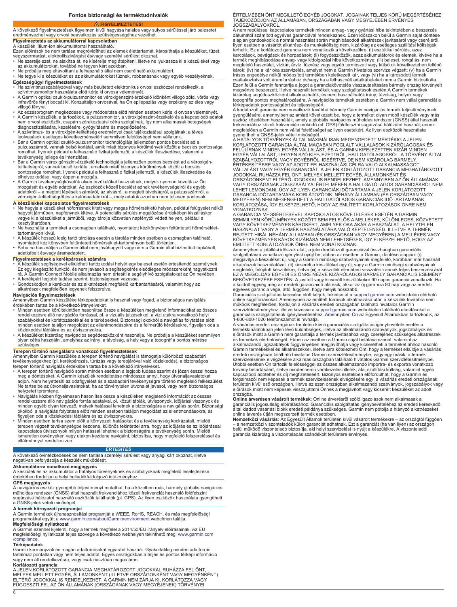# **Fontos biztonsági és terméktudnivalók**

## **FIGYELMEZTETÉS!**

## <span id="page-5-0"></span>A következő figyelmeztetések figyelmen kívül hagyása halálos vagy súlyos sérüléssel járó balesetet eredményezhet vagy orvosi beavatkozás szükségességéhez vezethet.

# **Figyelmeztetés az akkumulátorral kapcsolatban**

A készülék lítium-ion akkumulátorral használható.

- Ezen előírások be nem tartása megrövidítheti az elemek élettartamát, károsíthatja a készüléket, tüzet,<br>vegyszermarást, elektrolitszivárgást és/vagy személyi sérülést okozhat.<br>▪ Ne szerelje szét, ne alakítsa át, ne kísérel
- az akkumulátorokat, továbbá ne tegyen kárt azokban. Ne próbálja meg eltávolítani a felhasználó által nem cserélhető akkumulátort.
- Ne tegye ki a készüléket és az akkumulátorokat tűznek, robbanásnak vagy egyéb veszélyeknek.
- 
- **Egészségügyi figyelmeztetések**<br>• Ha szívritmusszabályzóval vagy más beültetett elektronikus orvosi eszközzel rendelkezik, a
- szívritmusmonitor használata előtt kérje ki orvosa véleményét.<br>• A Garmin optikai csukló-pulzusmonitor és véroxigénszint-érzékelő időnként villogó zöld, vörös vagy<br>· infravörös fényt bocsát ki. Konzultáljon orvosával, villogó fényre.
- Az edzésprogram megkezdése vagy módosítása előtt minden esetben kérje ki orvosa véleményét. • A Garmin készülék, a tartozékok, a pulzusmonitor, a véroxigénszint-érzékelő és a kapcsolódó adatok nem orvosi eszközök, csupán szórakoztatási célra szolgálnak, így nem alkalmasak betegségek diagnosztizálására, kezelésére, gyógyítására és megelőzésére.
- A szívritmus- és a véroxigén-telítettség eredményei csak tájékoztatásul szolgálnak; a téves<br> leolvasások esetleges következményeiért semmilyen felelősséget nem vállalunk.<br>• Bár a Garmin optikai csukló-pulzusmonitor t
- pulzusszámról, vannak belső korlátai, amik miatt bizonyos körülmények között a becslés pontossága romolhat. Ilyenek például a felhasználó fizikai jellemzői, a készülék illeszkedése, valamint a tevékenység jellege és intenzitása.
- Bár a Garmin véroxigénszint-érzékelő technológiája jellemzően pontos becslést ad a véroxigén-<br>tellítettségről, vannak belső korlátai, amelyek miatt bizonyos körülmények között a becslés<br>pontossága romolhat. Ilyenek példá
- elhelyezkedése, vagy éppen a mozgás. A Garmin tevékenységkövetők olyan érzékelőket használnak, melyek nyomon követik az Ön mozgását és egyéb adatokat. Az eszközök közeli becslést adnak tevékenységeiről és egyéb<br>adatokról – a megtett lépések számáról, az alvásról, a megtett távolságról, a pulzusszámról, a<br>véroxigén-telítettségről és a kalóriaa

- **A készülékkel kapcsolatos figyelmeztetések**<br>▪ Ne hagyja a készüléket hőforrásnak kitett vagy magas hőmérsékletű helyen, például felügyelet nélkül<br>▪ hagyott járműben, napfénynek kitéve. A potenciális sérülés megelőzése ér vegye ki a készüléket a járműből, vagy tárolja közvetlen napfénytől védett helyen, például a kesztyűtartóban.
- Ne használja a terméket a csomagban található, nyomtatott kézikönyvben feltüntetett hőmérséklettartományon kívül.
- 
- A készülék hosszú ideig tartó tárolása esetén a tárolás minden esetben a csomagban található, nyomtatott kézikönyvben feltüntetett hőmérséklet-tartományon belül történjen.
- Soha ne használjon a Garmin által nem jóváhagyott vagy nem a Garmin által biztosított tápkábelt, adatkábelt és/vagy áramadaptert.

# **Figyelmeztetések a kerékpárosok számára**

- A készülék segítségével elküldheti tartózkodási helyét egy baleset esetén értesítendő személynek.<br>Ez egy kiegészítő funkció, és nem javasolt a segítségkérés elsődleges módszereként hagyatkozni<br>rá. A Garmin Connect Mobi • A kerékpárt legjobb tudása szerint, biztonságosan vezesse.
- Gondoskodjon a kerékpár és az alkatrészek megfelelő karbantartásáról, valamint hogy az alkatrészek megfelelően legyenek felszerelve.

## **Navigációs figyelmeztetések**

Amennyiben Garmin készüléke térképadatokat is használ vagy fogad, a biztonságos navigálás

- érdekében tartsa be a következő irányelveket. Minden esetben körültekintően hasonlítsa össze a készüléken megjelenő információkat az összes rendelkezésre álló navigációs forrással, pl. a vizuális jelzésekkel, a vízi utakra vonatkozó helyi szabályokkal és korlátozásokkal és a térképekkel. Biztonsági okokból a navigálás folytatása előtt
- minden esetben találjon megoldást az ellentmondásokra és a felmerülő kérdésekre, figyeljen oda a<br>• A kézlekedési táblákra és az útviszonyokra.<br>• A készüléket kizárólag navigációs segédeszközként használja. Ne próbálja a ké szükséges.

**Terepen történő navigálásra vonatkozó figyelmeztetések**<br>Amennyiben Garmin készüléke a terepen történő navigálást is támogatja különböző szabadtéri tevékenységekhez (pl. kerékpározás, túrázás vagy terepjáróval való közlekedés), a biztonságos terepen történő navigálás érdekében tartsa be a következő irányelveket.

- A terepen történő navigáció során minden esetben a legjobb tudása szerint és józan ésszel hozza<br>meg a döntéseket. A Garmin készülék rendeltetése mindössze annyi, hogy útvonaljavaslatokat<br>adjon. Nem helyettesíti az odafig Ne tartsa be az útvonaljavaslatokat, ha az törvénytelen útvonalat javasol, vagy nem biztonságos helyzetet teremtene.
- Navigálás közben figyelmesen hasonlítsa össze a készüléken megjelenő információt az összes<br>rendelkezésre álló navigációs forrás adataival, pl. közúti táblák, útviszonyok, időjárási viszonyok és<br>minden egyéb olyan tényező
- figyeljen oda a közlekedési táblákra és az útviszonyokra.<br>• Minden eseben tartsa szem előtt a környezeti hatásokat és a tevékenység kockázatait, mielőtt<br>terepen végzett tevékenységbe kezdene, különös tekintettel arra, hogy ismeretlen ösvényeken vagy utakon kezdene navigálni, biztosítsa, hogy megfelelő felszereléssel és ellátmánnyal rendelkezzen.

## *ÉRTESÍTÉS*

A következő óvintézkedések be nem tartása személyi sérülést vagy anyagi kárt okozhat, illetve negatívan befolyásolja a készülék működését.

**Akkumulátorra vonatkozó megjegyzés**<br>A készülék és az akkumulátor a hatályos törvényeknek és szabályoknak megfelelő leselejtezése<br>érdekében forduljon a helyi hulladékfeldolgozó intézményhez.

## **GPS megjegyzés**

A navigációs eszköz gyengébb teljesítményt mutathat, ha a közelben más, bármely globális navigációs műholdas rendszer (GNSS) által használt frekvenciához közeli frekvenciát használó földfelszíni sugárzású hálózatot használó eszközök találhatók (pl. GPS). Az ilyen eszközök használata gyengítheti a GNSS-jelek vételi minőségét.

**A termék környezeti programjai**<br>A Garmin termékek újrahasznosítási programját a WEEE, RoHS, REACH, és más megfelelőségi programokkal együtt a [www.garmin.com/aboutGarmin/environment](http://www.garmin.com/aboutGarmin/environment) webcímen találja. **Megfelelőségi nyilatkozat**

A Garmin ezennel kijelenti, hogy a termék megfelel a 2014/53/EU irányelv előírásainak. Az EU megfelelőségi nyilatkozat teljes szövege a következő webhelyen tekinthető meg: [www.garmin.com](http://www.garmin.com/compliance) [/compliance](http://www.garmin.com/compliance).

### **Térképadatok**

6

Garmin kormányzati és magán adatforrásokat egyaránt használ. Gyakorlatilag minden adatforrás tartalmaz pontatlan vagy nem teljes adatot. Egyes országokban a teljes és pontos térképi információ vagy nem áll rendelkezésre, vagy csak riasztóan magas áron.

## **Korlátozott garancia**

A JELEN KORLÁTOZOTT GARANCIA MEGHATÁROZOTT JOGOKKAL RUHÁZZA FEL ÖNT,<br>MELYEK MELLETT EGYÉB, ÁLLAMONKÉNT (ILLETVE ORSZÁGONKÉNT VAGY MEGYÉNKÉNT) ELTÉRŐ JOGOKKAL IS RENDELKEZHET. A GARMIN NEM ZÁRJA KI, KORLÁTOZZA VAGY<br>FÜGGESZTI FEL AZ ÖN ÁLLAMÁNAK (ORSZÁGÁNAK VAGY MEGYÉJÉNEK) TÖRVÉNYEI

ÉRTELMÉBEN ÖNT MEGILLETŐ EGYÉB JOGOKAT. JOGAINAK TELJES KÖRŰ MEGÉRTÉSÉHEZ TÁJÉKOZÓDJON AZ ÁLLAMÁBAN, ORSZÁGÁBAN VAGY MEGYÉJÉBEN ÉRVÉNYES<br>TÁJÉKOZÓDJON AZ ÁLLAMÁBAN, ORSZÁGÁBAN VAGY MEGYÉJÉBEN ÉRVÉNYES

JOGSZABALYOKRÓL.<br>A nem repüléssel kapcsolatos termékek minden anyag- vagy gyártási hiba tekintetében a beszerzés<br>dátumától számított egyéves garanciával rendelkeznek. Ezen időszakon belül a Garmin saját döntése<br>alapján gon terhelik. Ez a korlátozott garancia nem vonatkozik a következőkre: (i) esztétikai sérülés, azaz karcolások, bevágások és horpadások; (ii) fogyóeszközök, azaz akkumulátorok és elemek, kivéve ha a<br>termék meghibásodása anyag- vagy kidolgozási hiba következménye; (iii) baleset, rongálás, nem<br>megfelelő használat, vízkár, károk; (iv) ha a kár oka szervizelés, amelyet nem a Garmin hivatalos szervize végzett; (v) ha a Garmin írásos engedélye nélkül módosított termékben keletkezett kár, vagy (vi) ha a károsodott termék csatlakoztatva volt áramforráshoz és/vagy ha a felhasznált adatkábeleket nem a Garmin biztosította. Ezen felül a Garmin fenntartja a jogot a garanciakövetelés visszautasítására bármely ország törvényeit megsértve beszerzett, illetve használt termékek vagy szolgáltatások esetén.A Garmin termékek kizárólag segédeszközként alkalmazhatók, és nem használhatók irány, távolság, helyek vagy topográfia pontos meghatározására. A navigációs termékek esetében a Garmin nem vállal garanciát a<br>térképadatok pontosságáért és teljességéért.<br>A korlátozott garancia nem vonatkozik továbbá bármely Garmin navigációs termék

gyengülésére, amennyiben az amiatt következett be, hogy a terméket olyan mobil készülék vagy más eszköz közelében használták, amely a globális navigációs műholdas rendszer (GNSS) által használt frekvenciához közeli frekvencián működő (pl. GPS) földfelszíni sugárzású hálózatot használ; ennek<br>megfelelően a Garmin nem vállal felelősséget az ilyen esetekért. Az ilyen eszközök használata<br>gyengítheti a GNSS-jelek véte

KORLÁTOZOTT GARANCIA ALTAL MAGÁBAN FOGLALT VÁLLALÁSOK KIZÁRÓLAGOSAK ÉS<br>FELÜLÍRNAK MINDEN EGYÉB VÁLLALÁST, ÉS A GARMIN KIFEJEZETTEN KIZÁR MINDEN<br>EGYÉB VÁLLALÁST, LEGYEN SZÓ KIFEJEZETTRŐL, HALLGATÓLAGOSRÓL, A TÖRVÉNY ÁLTAL<br>S VÁLLALÁST VAGY EGYÉB GARANCIÁT. A JELEN KORLÁTOZOTT GARANCIA MEGHATÁROZOTT<br>JOGOKKAL RUHÁZZA FEL ÖNT, MELYEK MELLETT EGYÉB, ÁLLAMONKÉNT ÉS<br>ORSZÁGONKÉNT ELTÉRŐ JOGOKKAL IS RENDELKEZHET. AMENNYIBEN AZ ÖN ÁLLAMÁNAK<br>VAGY ORSZÁG LEHET LEMONDANI, ÚGY AZ ILYEN GARANCIÁK IDŐTARTAMA A JELEN KORLÁTOZOTT GARANCIA IDŐTARTAMÁRA KORLÁTOZÓDIK. NÉHÁNY ÁLLAMBAN (ÉS ORSZÁGBAN VAGY MEGYÉBEN) NEM MEGENGEDETT A HALLGATÓLAGOS GARANCIÁK IDŐTARTAMÁNAK<br>KORLÁTOZÁSA, ÍGY ELKÉPZELHETŐ, HOGY AZ EMLÍTETT KORLÁTOZÁSOK ÖNRE NEM<br>VONATKOZNAK.

A GARANCIA MEGSÉRTÉSÉVEL KAPCSOLATOS KÖVETELÉSEK ESETÉN A GARMIN<br>SEMMILYEN KÖRÜLMÉNYEK KÖZÖTT SEM FELELŐS A MELLÉKES, KÜLÖNLEGES, KÖZVETETT<br>VAGY KÖVETKEZMÉNYES KÁROKÉRT, AMELYEK OKA AKÁR A HASZNÁLAT, A HELYTELEN<br>HASZNÁLAT KÖVETKEZMÉNYES KÁROK KIZÁRÁSA NEM LEHETSÉGES, ÍGY ELKÉPZELHETŐ, HOGY AZ EMLÍTETT KORLÁTOZÁSOK ÖNRE NEM VONATKOZNAK.

Amennyiben a jótállási időszak alatt, a jelen korlátozott garanciával összhangban garanciális<br>szolgáltatásra vonatkozó igénylést nyújt be, abban az esetben a Garmin, döntése alapján: (i)<br>megjavítja a készüléket új, vagy a

Garanciális szolgáltatás keresése előtt kérjük, tekintse át a [support.garmin.com](http://www.support.garmin.com) weboldalon elérhető<br>online súgóforrásokat. Amennyiben az említett források alkalmazása után a készülék továbbra sem működik megfelelően, forduljon a vásárlás eredeti országában található hivatalos Garmin<br>szervizlétesítményhez, illetve kövesse a [support.garmin.com](http://www.support.garmin.com) weboldalon található utasításokat a garanciális szolgáltatások igénybevételéhez. Amennyiben Ön az Egyesült Államokban tartózkodik, az 1-800-800-1020 telefonszámot is hívhatja.

A vásárlás eredeti országának területén kívüli garanciális szolgáltatás igénybevétele esetén a<br>termékkínálatokban jelen lévő különbségek, illetve az alkalmazandó szabványok, jogszabályok és<br>előírások miatt a Garmin nem gar alkalmazandó jogszabályok függvényében megjavíthatja vagy kicserélheti a terméket ahhoz hasonló<br>Garmin termékekkel és alkatrészekkel, illetve arra kötelezheti Önt, hogy a terméket elküldje a vásárlás<br>eredeti országában tal szervizelésének elvégzésére alkalmas országban található hivatalos Garmin szervizlétesítménybe. Utóbbi esetben Ön tartozik felelősséggel az összes alkalmazandó importra- és exportra vonatkozó törvény betartásáért, illetve mindennemű vámkezelési illeték, áfa, szállítási költség, valamint egyéb<br>kapcsolódó adóteher és díj megfizetéséért. Bizonyos esetekben előfordulhat, hogy a Garmin és<br>forgalmazói nem képesek a t előírások miatt nem képesek visszajuttatni Önnek a megjavított vagy kicserélt készüléket az adott

országba.<br>**Online árverésen vásárolt termékek**: Online árverésről szóló igazolások nem alkalmasak a<br>garanciális jogosultság elbírálásához. Garanciális szolgáltatás igénybevételéhez az eredeti kereskedő<br>által kiadott vásárl

online árverés útján megszerzett termék esetében.<br>**Nemzetközi vásárlá**s: Az Egyesült Államok területén kívül vásárolt termékekre – az országtól függően<br>– a nemzetközi viszonteladók külön garanciát adhatnak. Ezt a garanciát garancia kizárólag a viszonteladás szándékolt területére érvényes.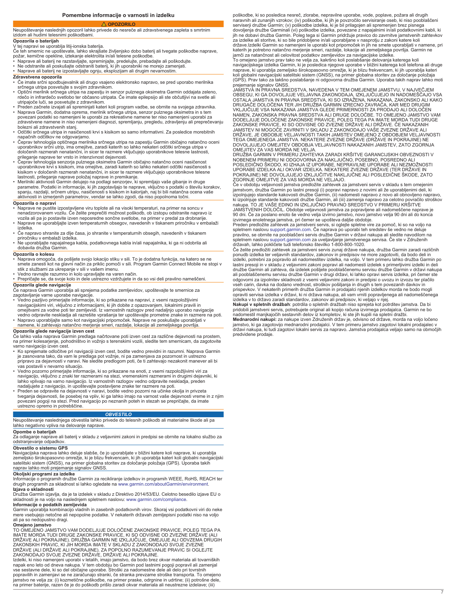**Pomembne informacije o varnosti in izdelku**

## **OPOZORILO**

## <span id="page-6-0"></span>Neupoštevanje naslednjih opozoril lahko privede do nesreče ali zdravstvenega zapleta s smrtnim izidom ali hudimi telesnimi poškodbami.

# **Opozorila o baterijah**

V tej napravi se uporablja litij-ionska baterija.

Če teh smernic ne upoštevate, lahko skrajšate življenjsko dobo baterij ali tvegate poškodbe naprave,<br>požar, kemične opekline, iztekanje elektrolita in/ali telesne poškodbe.<br>• Naprave ali baterij ne razstavljajte, spremin

- 
- Ne odstranite ali poskušajte odstraniti baterij, ki jih uporabniki ne morejo zamenjati. Naprave ali baterij ne izpostavljajte ognju, eksplozijam ali drugim nevarnostim.

### **Zdravstvena opozorila**

- Če imate srčni spodbujevalnik ali drugo vsajeno elektronsko napravo, se pred uporabo merilnika srčnega utripa posvetujte s svojim zdravnikom.
- Optični merilnik srčnega utripa na zapestju in senzor pulznega oksimetra Garmin oddajata zeleno, rdečo in infrardečo svetlobo ter občasno utripata. Če imate epilepsijo ali ste občutljivi na svetle ali utripajoče luči, se posvetujte z zdravnikom.
- Preden začnete izvajati ali spreminjati kateri koli program vadbe, se obrnite na svojega zdravnika. • Naprava Garmin, dodatna oprema, merilnik srčnega utripa, senzor pulznega oksimetra in s tem povezani podatki so namenjeni le uporabi za rekreativne namene ter niso namenjeni uporabi za zdravstvene namene in niso namenjeni diagnozi, spremljanju, pregledu, zdravljenju ali preprečevanju
- bolezni ali zdravstvenih stanj. ∙ Odčitki srčnega utripa in nasičenosti krvi s kisikom so samo informativni. Za posledice morebitnih<br> napačnih odčitkov ne odgovarjamo.<br>• Čeprav tehnologija optičnega merilnika srčnega utripa na zapestju Garmin običaj
- uporabnikov srčni utrip, ima omejitve, zaradi katerih so lahko nekateri odčitki srčnega utripa v določenih razmerah nenatančni, in sicer te razmere vključujejo uporabnikove telesne lastnosti,
- prileganje naprave ter vrsto in intenzivnost dejavnosti.<br>• Čeprav tehnologija senzorja pulznega oksimetra Garmin običajno natančno oceni nasičenost<br>uporabnikove krvi s kisikom, ima omejitve, zaradi katerih so lahko nekater
- lastnosti, prileganje naprave položaj naprave in premikanje. Merilniki aktivnosti Garmin delujejo na podlagi senzorjev, ki spremljajo vaše gibanje in druge parametre. Podatki in informacije, ki jih zagotavljajo te naprave, vključno s podatki o številu korakov,<br>spanju, razdalji, srčnem utripu, nasičenosti s kisikom in kalorijah, naj bi bili natančna ocena vaše aktivnosti in izmerjenih parametrov, vendar se lahko zgodi, da niso popolnoma točni.

### **Opozorila o napravi**

- Naprave ne pustite izpostavljene viru toplote ali na visoki temperaturi, na primer na soncu v nenadzorovanem vozilu. Če želite preprečiti možnost poškodb, ob izstopu odstranite napravo iz
- vozila ali pa jo postavite izven neposredne sončne svetlobe, na primer v predal za drobnarije. • Naprave ne uporabljajte izven temperaturnih obsegov, navedenih v tiskanem priročniku v embalaži izdelka.
- Če napravo shranite za dlje časa, jo shranite v temperaturnih obsegih, navedenih v tiskanem
- priročniku v embalaži izdelka. Ne uporabljajte napajalnega kabla, podatkovnega kabla in/ali napajalnika, ki ga ni odobrila ali dobavila družba Garmin.

- **Opozorila o kolesu** Naprava omogoča, da pošljete svojo lokacijo stiku v sili. To je dodatna funkcija, na katero se ne smete zanesti kot na glavni način za priklic pomoči v sili. Program Garmin Connect Mobile ne stopi v stik z službami za ukrepanje v sili v vašem imenu.
- Vedno ravnajte razumno in kolo upravljajte na varen način.
- Prepričajte se, da svoje kolo in dele ustrezno vzdržujete in da so vsi deli pravilno nameščeni. **Opozorila glede navigacije**<br>Če naprava Garmin uporablja ali sprejema podatke zemljevidov, upoštevajte te smernice za

- zagotavljanje varne uporabe navigacije.
- Vedno pazljivo primerjajte informacije, ki so prikazane na napravi, z vsemi razpoložljivimi<br> navigacijskimi viri, vključno z informacijami, ki jih dobite z opazovanjem, lokalnimi pravili in<br> omejitvami za vodne poti t
- vedno odpravite neskladja ali razrešite vprašanja ter upoštevajte prometne znake in razmere na poti. Napravo uporabljajte samo kot navigacijski pripomoček. Naprave ne poskušajte uporabljati v namene, ki zahtevajo natančno merjenje smeri, razdalje, lokacije ali zemeljskega površja.

**Opozorila glede navigacije izven cest** Če lahko vaša naprava Garmin predlaga načrtovane poti izven cest za različne dejavnosti na prostem, na primer kolesarjenje, pohodništvo in vožnjo s terenskimi vozili, sledite tem smernicam, da zagotovite varno navigacijo izven cest.

- Ko sprejemate odločitve pri navigaciji izven cest, bodite vedno previdni in razumni. Naprava Garmin je zasnovana tako, da vam le predlaga pot vožnje, ni pa zamenjava za pozornost in ustrezno pripravo za dejavnosti v naravi. Ne sledite predlogom poti, če ti zahtevajo nezakonit manever ali bi vas postavili v nevarno situacijo.
- Vedno pozorno primerjajte informacije, ki so prikazane na enoti, z vsemi razpoložljivimi viri za navigacijo, vključno z znaki ter razmerami na stezi, vremenskimi razmerami in drugimi dejavniki, ki lahko vplivajo na varno navigacijo. Iz varnostnih razlogov vedno odpravite neskladja, preden nadaljujete z navigacijo, in upoštevajte postavljene znake ter razmere na poti.
- Preden se odpravite na dejavnosti v naravi, bodite vedno pozorni na učinke okolja in privzeta<br>tveganja dejavnosti, še posebej na vpliv, ki ga lahko imajo na varnost vaše dejavnosti vreme in z njim<br>povezani pogoji na stez ustrezno opremo in potrebščine.

## *OBVESTILO*

Neupoštevanje naslednjega obvestila lahko privede do telesnih poškodb ali materialne škode ali pa lahko negativno vpliva na delovanje naprave.

### **Opombe o baterijah**

Za odlaganje naprave ali baterij v skladu z veljavnimi zakoni in predpisi se obrnite na lokalno službo za odstranjevanje odpadkov.

**Obvestilo o sistemu GPS**

Navigacijska naprava lahko deluje slabše, če jo uporabljate v bližini katere koli naprave, ki uporablja zemeljsko širokopasovno omrežje, ki je blizu frekvencam, ki jih uporablja kateri koli globalni navigacijski satelitski sistem (GNSS), na primer globalna storitev za določanje položaja (GPS). Uporaba takih naprav lahko moti prejemanje signalov GNSS.

## **Okoljski programi za izdelke**

Informacije o programih družbe Garmin za recikliranje izdelkov in programih WEEE, RoHS, REACH ter drugih programih za skladnost si lahko ogledate na [www.garmin.com/aboutGarmin/environment](http://www.garmin.com/aboutGarmin/environment). **Izjava o skladnosti**

Družba Garmin izjavlja, da je ta izdelek v skladu z Direktivo 2014/53/EU. Celotno besedilo izjave EU o skladnosti je na voljo na naslednjem spletnem naslovu: [www.garmin.com/compliance.](http://www.garmin.com/compliance) **Informacije o podatkih zemljevida**

Garmin uporablja kombinacijo vladnih in zasebnih podatkovnih virov. Skoraj vsi podatkovni viri do neke mere vsebujejo netočne ali nepopolne podatke. V nekaterih državah zemljepisni podatki niso na voljo ali pa so nedopustno dragi.

**Omejeno jamstvo**<br>TO OMEJENO JAMSTVO VAM DODELJUJE DOLOČENE ZAKONSKE PRAVICE, POLEG TEGA PA<br>IMATE MORDA TUDI DRUGE ZAKONSKE PRAVICE, KI SO ODVISNE OD ZVEZNE DRŽAVE (ALI<br>DRŽAVE ALI POKRAJINE). DRUŽBA GARMIN NE IZKLJUČUJE, O

DRŽAVE (ALI DRŽAVE ALI POKRAJINE). ZA POPOLNO RAZUMEVANJE PRAVIC SI OGLEJTE<br>ZAKONODAJO SVOJE ZVEZNE DRŽAVE, DRŽAVE ALI POKRAJINE.<br>Izdelki, ki niso namenjeni uporabi v letalih, imajo jamstvo, da bodo brez okvar materiala al jamstvo ne velja za: (i) kozmetične poškodbe, na primer praske, odrgnine in udrtine; (ii) potrošne dele,<br>na primer baterije, razen če je do poškodb prišlo zaradi okvar materiala ali neustrezne izdelave; (iii) poškodbe, ki so posledica nesreč, zlorabe, nepravilne uporabe, vode, poplave, požara ali drugih naravnih ali zunanjih vzrokov; (iv) poškodbe, ki jih je povzročilo servisiranje oseb, ki niso pooblaščeni serviserji družbe Garmin; (v) poškodbe izdelka, ki je bil prilagojen ali spremenjen brez pisnega<br>dovoljenja družbe Garminali (vi) poškodbe izdelka, povezane z napajalnimi in/ali podatkovnimi kabli, ki jih ne dobavi družba Garmin. Poleg tega si Garmin pridržuje pravico do zavrnitve jamstvenih zahtevkov<br>za izdelke ali storitve, ki so bile pridobljene in/ali uporabljane v nasprotju z zakoni katere koli<br>države.Izdelki Garmi katerih je potrebno natančno merjenje smeri, razdalje, lokacije ali zemeljskega površja. Garmin ne

jamči za natančnost ali celovitost podatkov zemljevidov za navigacijske izdelke.<br>To omejeno jamstvo prav tako ne velja za, kakršno koli poslabšanje delovanja katerega koli<br>navigacijskega izdelka Garmin, ki je posledica nje naprave, ki uporablja zemeljsko širokopasovno omrežje, ki je blizu frekvencam, ki jih uporablja kateri koli globalni navigacijski satelitski sistem (GNSS), na primer globalna storitev za določanje položaja (GPS). Prav tako za takšno poslabšanje ni odgovorna družba Garmin. Uporaba takih naprav lahko moti

prejemanje signalov GNSS. JAMSTVA IN PRAVNA SREDSTVA, NAVEDENA V TEM OMEJENEM JAMSTVU, V NAJVEČJEM OBSEGU, KI GA DOVOLJUJE VELJAVNA ZAKONODAJA, IZKLJUĆUJEJO IN NADOMESĆAJO VSA<br>OSTALA JAMSTVA IN PRAVNA SREDSTVA, KI SO IZRAŽENA, NAKAZANA, ZAKONSKO ALI KAKO<br>DRUGAČE DOLOČENA TER JIH DRUŽBA GARMIN IZRECNO ZAVRAČA, KAR MED DR NAMEN, ZAKONSKA PRAVNA SREDSTVA ALI DRUGE DOLOČBE. TO OMEJENO JAMSTVO VAM DODELJUJE DOLOČENE ZAKONSKE PRAVICE, POLEG TEGA PA IMATE MORDA TUDI DRUGE

ZAKONSKE PRAVICE, KI SO ODVISNE OD ZVEZNE DRŽAVE ALI DRŽAVE. ČE NAKAZANIH<br>JAMSTEV NI MOGOČE ZAVRNITI V SKLADU Z ZAKONODAJO VAŠE ZVEZNE DRŽAVE ALI<br>DRŽAVE, JE OBDOBJE VELJAVNOSTI TAKIH JAMSTEV OMEJENO Z OBDOBJEM VELJAVNOSTI<br> DOVOLJUJEJO OMEJITEV OBDOBJA VELJAVNOSTI NAKAZANIH JAMSTEV, ZATO ZGORNJA OMEJITEV ZA VAS MORDA NE VELJA.

DRUŽBA GARMIN V PRIMERU ZAHTEVKA ZARADI KRŠITVE GARANCIJSKIH OBVEZNOSTI V NOBENEM PRIMERU NI ODGOVORNA ZA NAKLJUČNO, POSEBNO, POSREDNO ALI POSLEDIČNO ŠKODO, KI IZHAJA IZ UPORABE, NEPRAVILNE UPORABE ALI NEZMOŽNOSTI UPORABE IZDELKA ALI OKVAR IZDELKA. NEKATERE ZVEZNE DRŽAVE (TER DRŽAVE IN<br>POKRAJINE) NE DOVOLJUJEJO IZKLJUČITVE NAKLJUČNE ALI POSLEDIČNE ŠKODE, ZATO<br>ZGORNJE OMEJITVE ZA VAS MORDA NE VELJAJO.

Če v obdobju veljavnosti jamstva predložite zahtevek za jamstveni servis v skladu s tem omejenim jamstvom, družba Garmin po lastni presoji (i) popravi napravo z novimi ali že uporabljenimi deli, ki<br>izpolnjujejo standarde kakovosti družbe Garmin, (ii) nadomesti napravo z novo ali obnovljeno napravo, ki izpolnjuje standarde kakovosti družbe Garmin, ali (iii) zamenja napravo za celotno povračilo stroškov<br>nakupa. TO JE VAŠE EDINO IN IZKLJUČNO PRAVNO SREDSTVO V PRIMERU KRŠITVE<br>JAMSTVENIH DOLOČIL. Obdobje veljavnosti jamst

izvirnega enoletnega jamstva, pri čemer se upošteva daljše obdobje.<br>Preden predložite zahtevek za jamstveni servis, si oglejte spletne vire za pomoč, ki so na voljo na<br>spletnem naslovu [support.garmin.com](http://www.support.garmin.com). Če naprava po upo spletnem naslovu [support.garmin.com](http://www.support.garmin.com) za uveljavljanje jamstvenega servisa. Če ste v Združenih državah, lahko pokličete tudi telefonsko številko 1-800-800-1020.

Če želite predložiti zahtevek za jamstveni servis zunaj države nakupa, družba Garmin zaradi različnih<br>ponudb izdelka ter veljavnih standardov, zakonov in predpisov ne more zagotoviti, da bodo deli in<br>izdelki, potrebni za p lastni presoji in v skladu z veljavnimi zakoni popravi ali nadomesti izdelek s primerljivimi izdelki in deli družbe Garmin ali zahteva, da izdelek pošljete pooblaščenemu servisu družbe Garmin v državi nakupa<br>ali pooblaščenemu servisu družbe Garmin v drugi državi, ki lahko opravi servis izdelka, pri čemer ste<br>odgovorni za izpolnit vseh carin, davka na dodano vrednost, stroškov pošiljanja in drugih s tem povezanih davkov in prispevkov. V nekaterih primerih družba Garmin in prodajalci njenih izdelkov morda ne bodo mogli

opraviti servisa izdelka v državi, ki ni država nakupa, ali vam vrniti popravljenega ali nadomeščenega<br>izdelka v to državo zaradi standardov, zakonov ali predpisov, ki veljajo v njej.<br>**Nakupi v spletnih dražbah**: potrdila nadomestil manjkajočih sestavnih delov iz kompletov, ki ste jih kupili na spletni dražbi. **Mednarodni nakupi:** za nakupe izven Združenih držav je, odvisno od države, morda na voljo ločeno jamstvo, ki ga zagotovijo mednarodni prodajalci. V tem primeru jamstvo zagotovi lokalni prodajalec v državi nakupa, ki tudi zagotovi lokalni servis za napravo. Jamstva prodajalca veljajo samo na območjih predvidene prodaje.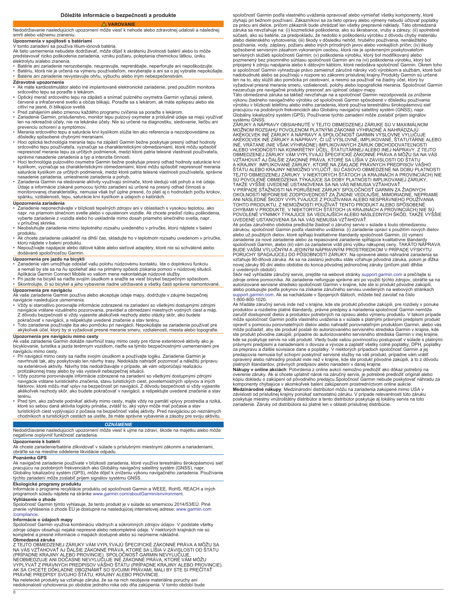**VAROVANIE**

## <span id="page-7-0"></span>Nedodržiavanie nasledujúcich upozornení môže viesť k nehode alebo zdravotnej udalosti a následnej smrti alebo vážnemu zraneniu.

# **Upozornenia v spojitosti s batériami**

V tomto zariadení sa používa lítium-iónová batéria. Ak tieto usmernenia nebudete dodržiavať, môže dôjsť k skráteniu životnosti batérií alebo to môže predstavovať riziko poškodenia zariadenia, vzniku požiaru, poleptania chemickou látkou, úniku elektrolytu a/alebo zranenia.

- 
- Batérie ani zariadenie nerozoberajte, neupravujte, neprerábajte, neperforujte ani nepoškodzujte. Batériu, ktorá nie je určená na výmenu používateľom, nevyberajte a ani sa o jej vybratie nepokúšajte. • Batérie ani zariadenie nevystavujte ohňu, výbuchu alebo iným nebezpečenstvám.

- **Zdravotné upozornenia** Ak máte kardiostimulátor alebo iné implantované elektronické zariadenie, pred použitím monitora
- srdcového tepu sa poraďte s lekárom.<br>• Optický merač srdcového tepu na zápästí a snímač pulzného oxymetra Garmin vyžarujú zelené,<br>· červené a infračervené svetlo a občas blikajú. Poraďte sa s lekárom, ak máte epilepsiu al citliví na jasné, či blikajúce svetlá.
- 
- ∙ Pred zahájením alebo zmenou každého programu cvičenia sa poraďte s lekárom.<br>∙ Zariadenie Garmin, príslušenstvo, monitor tepu pulzový oxymeter a príslušné údaje sa majú využívať<br>∙ len na rekreačné účely, nie na leká prevenciu ochorení a symptómov.
- Merania srdcového tepu a saturácie krvi kyslíkom slúžia len ako referencia a nezodpovedáme za dôsledky spôsobené chybnými meraniami.
- Hoci optická technológia merania tepu na zápästí Garmin bežne poskytuje presný odhad hodnoty srdcového tepu používateľa, vyznačuje sa charakteristickými obmedzeniami, ktoré môžu spôsobiť nepresnosť merania tepu za určitých podmienok, medzi ktoré patria telesné vlastnosti používateľa,
- správne nasadenie zariadenia a typ a intenzita činnosti.<br>• Hoci technológia pulzového oxymetra Garmin bežne poskytuje presný odhad hodnoty saturácie krvi<br>kyslíkom, vyznačuje sa charakteristickými obmedzeniami, ktoré môžu s
- nasadenie zariadenia, umiestnenie zariadenia a pohyb. Zariadenia Garmin na sledovanie aktivity využívajú snímače, ktoré sledujú váš pohyb a iné údaje. Údaje a informácie získané pomocou týchto zariadení sú určené na presný odhad činnosti a<br>monitorovanej charakteristiky, nemusia však byť úplne presné, čo platí aj o hodnotách počtu krokov,<br>spánku, vzdialenosti, tepu, satur

## **Upozornenia zariadenia**

- Zariadenie neponechávajte v blízkosti tepelných zdrojov ani v oblastiach s vysokou teplotou, ako napr. na priamom slnečnom svetle alebo v opustenom vozidle. Ak chcete predísť riziku poškodenia, vyberte zariadenie z vozidla alebo ho uskladnite mimo dosah priameho slnečného svetla, napr. v príručnej skrinke.
- Neobsluhujte zariadenie mimo teplotného rozsahu uvedeného v príručke, ktorú nájdete v balení produktu.
- 
- Ak chcete zariadenie uskladniť na dlhší čas, skladujte ho v teplotnom rozsahu uvedenom v príručke, ktorú nájdete v balení produktu. • Nepoužívajte napájacie alebo dátové káble alebo sieťové adaptéry, ktoré nie sú schválené alebo dodávané spoločnosťou Garmin.

# **Upozornenia pre jazdu na bicykli**

- ∙ Zariadenie vám umožňuje odoslať vašu polohu núdzovému kontaktu. Ide o doplnkovú funkciu<br>⊃a nemali by ste sa na ňu spoliehať ako na primárny spôsob získania pomoci v núdzovej situácii.<br>Aplikácia Garmin Connect Mobile vo
- Pri jazde na bicykli sa riaďte svojím úsudkom a snažte sa viesť bicykel bezpečným spôsobom. • Skontrolujte, či sú bicykel a jeho vybavenie riadne udržiavané a všetky časti správne namontované. **Upozornenia pre navigáciu**

Ak vaše zariadenie Garmin používa alebo akceptuje údaje mapy, dodržujte v záujme bezpečnej navigácie nasledujúce usmernenia.

- Vždy si starostlivo porovnajte informácie zobrazené na zariadení so všetkými dostupnými zdrojmi navigácie vrátane vizuálneho pozorovania, pravidiel a obmedzení miestnych vodných ciest a máp. Z dôvodu bezpečnosti si vždy vyjasnite akékoľvek nezhody alebo otázky skôr, ako budete pokračovať v navigácii, a rešpektujte uvedené značenie a stav terénu.
- Toto zariadenie používajte iba ako pomôcku pri navigácii. Nepokúšajte sa zariadenie používať pre akýkoľvek účel, ktorý by si vyžadoval presné meranie smeru, vzdialenosti, miesta alebo topografie. **Upozornenia pre navigáciu mimo cesty**

Ak vaše zariadenie Garmin dokáže navrhnúť trasy mimo cesty pre rôzne exteriérové aktivity ako je bicyklovanie, turistika a jazda terénnym vozidlom, riaďte sa týmito bezpečnostnými usmerneniami pre navigáciu mimo cesty.

- Pri navigácii mimo cesty sa riaďte svojím úsudkom a používajte logiku. Zariadenie Garmin je navrhnuté tak, aby poskytovalo len návrhy trasy. Nedokáže nahradiť pozornosť a náležitú prípravu na exteriérové aktivity. Návrhy trás nedodržiavajte v prípade, ak vám odporúčajú realizáciu
- protizákonnej trasy alebo by vás vystavili nebezpečnej situácii.<br>• Vždy pozorne porovnávajte informácie zobrazené na zariadení so všetkými dostupnými zdrojmi<br>• navigácie vrátane turistického značenia, stavu turistických faktorov, ktoré môžu mať vplyv na bezpečnosť pri navigácii. Z dôvodu bezpečnosti si vždy vyjasnite akékoľvek nezhody skôr, ako budete pokračovať v navigácii, a rešpektujte uvedené značenie a stav terénu.
- Pred tým, ako začnete podnikať aktivity mimo cesty, majte vždy na pamäti vplyvy prostredia a riziká, ktoré so sebou daná aktivita logicky prináša, zvlášť to, aký vplyv môže mať počasie a stav turistických ciest vyplývajúci z počasia na bezpečnosť vašej aktivity. Pred navigáciou po neznámych chodníkoch a turistických cestách sa uistite, že máte správne vybavenie a zásoby pre svoju aktivitu.

# *OZNÁMENIE*

Nedodržiavanie nasledujúcich upozornení môže viesť k ujme na zdraví, škode na majetku alebo môže negatívne ovplyvniť funkčnosť zariadenia.

### **Upozornenie k batérii**

Ak chcete zariadenie/batérie zlikvidovať v súlade s príslušnými miestnymi zákonmi a nariadeniami, obráťte sa na miestne oddelenie likvidácie odpadu.

### **Poznámka GPS**

Ak navigačné zariadenie používate v blízkosti zariadenia, ktoré využíva terestriálnu širokopásmovú sieť<br>pracujúcu na podobných frekvenciách ako Globálny navigačný satelitný systém (GNSS), napr. Globálny lokalizačný systém (GPS), môže dôjsť k zníženiu výkonu navigačného zariadenia. Používanie týchto zariadení môže zoslabiť príjem signálov systému GNSS.

# **Ekologické programy produktu**

Informácie o programe recyklácie produktu od spoločnosti Garmin a WEEE, RoHS, REACH a iných programoch súladu nájdete na stránke [www.garmin.com/aboutGarmin/environment](http://www.garmin.com/aboutGarmin/environment).

# **Vyhlásenie o zhode** Spoločnosť Garmin týmto vyhlasuje, že tento produkt je v súlade so smernicou 2014/53/EÚ. Plné znenie vyhlásenia o zhode EÚ je dostupné na nasledujúcej internetovej adrese: [www.garmin.com](http://www.garmin.com/compliance)

[/compliance](http://www.garmin.com/compliance).

**Informácie o údajoch mapy**<br>Spoločnosť Garmin využíva kombináciu vládnych a súkromných zdrojov údajov. V podstate všetky<br>zdroje údajov obsahujú nejaké nepresné alebo nekompletné údaje. V niektorých krajinách nie sú<br>komplet

8

**Obmedzená záruka** Z TEJTO OBMEDZENEJ ZÁRUKY VÁM VYPLÝVAJÚ ŠPECIFICKÉ ZÁKONNÉ PRÁVA A MÔŽU SA NA VÁS VZŤAHOVAŤ AJ ĎALŠIE ZÁKONNÉ PRÁVA, KTORÉ SA LÍŠIA V ZÁVISLOSTI OD ŠTÁTU<br>(PRÍPADNE KRAJINY ALEBO PROVINCIE). SPOLOČNOSŤ GARMIN NEVYLUČUJE,<br>NEOBMEDZUJE ANI DOČASNE NEVYLUČUJE INÉ ZÁKONNÉ PRÁVA, KTORÉ VÁM MÔŽU<br>VYPLÝVAŤ

Na neletecké produkty sa vzťahuje záruka, že sa na nich neobjavia materiálne poruchy ani nedokonalosti vyhotovenia po obdobie jedného roka odo dňa zakúpenia. V tomto období bude

spoločnosť Garmin podľa vlastného uváženia opravovať alebo vymieňať všetky komponenty, ktoré zlyhajú pri bežnom používaní. Zákazníkovi sa za tieto opravy alebo výmeny nebudú účtovať poplatky za prácu ani dielce, pričom zákazník bude uhrádzať len všetky prepravné náklady. Táto obmedzená záruka sa nevzťahuje na: (i) kozmetické poškodenia, ako sú škrabance, vruby a zárezy; (ii) spotrebné súčasti, ako sú batérie, za predpokladu, že nedošlo k poškodeniu výrobku z dôvodu chyby materiálu<br>alebo dielenského vyhotovenia; (iii) škody v dôsledku nehôd, hrubého používania, nenáležitého<br>používania, vody, záplavy, pož servisných služieb spoločnosti Garmin; (v) poškodenia výrobku, ktorý bol modifikovaný alebo<br>pozmenený bez písomného súhlasu spoločnosti Garmin ani na (vi) poškodenia výrobku, ktorý bol<br>pripojený k zdroju napájania alebo k si spoločnosť Garmin vyhradzuje právo zamietnuť záručné nároky voči výrobkom a službám, ktoré boli<br>nadobudnuté alebo sa používajú v rozpore so zákonmi príslušnej krajiny.Produkty Garmin sú určené len na to, aby slúžili ako pomôcka pri cestovaní, a nesmú sa používať na žiadny účel, ktorý by vyžadoval presné meranie smeru, vzdialenosti, polohy alebo topografické merania. Spoločnosť Garmin

nezaručuje pre navigačné produkty presnosť ani úplnosť údajov mapy. Táto obmedzená záruka sa taktiež nevzťahuje na a spoločnosť Garmin nezodpovedá za zníženie výkonu žiadneho navigačného výrobku od spoločnosti Garmin spôsobené v dôsledku používania<br>výrobku v blízkosti telefónu alebo iného zariadenia, ktoré používa terestriálnu širokopásmovú sieť<br>pracujúcu na podobných frekvenciá

ZARUKY A NAPRAVY OBSIAHNIUTE V TEJTO OBMEDZENEJ ZARUKE SU V MAXIMALNOM<br>MOŽNOM ROZSAHU POVOLENOM PLATNÝMI ZÁKONMI VÝHRADNÉ A NAHRÁDZAJÚ<br>AKÉKOĽVEK INÉ ZÁRUKY A NÁPRAVY A SPOLOČNOSŤ GARMIN VÝSLOVNE VYLUČUJE<br>AKÉKOĽVEK INÉ ZÁRU

TOHTO PRODUKTU, Z NEMOŽNOSTI POUŽÍVAŤ TENTO PRODUKT ALEBO SPÔSOBENÉ<br>CHYBAMI V PRODUKTE. V NIEKTORÝCH ŠTÁTOCH (A KRAJINÁCH A PROVINCIÁCH) NIE SÚ<br>POVOLENÉ VÝNIMKY TÝKAJÚCE SA VEDĽAJŠÍCH ALEBO NÁSLEDNÝCH ŠKÔD, TAKŽE VYŠŠIE

UVEDENÉ USTANOVENIA SA NA VAS NEMUSIA VZŤAHOVAŤ.<br>Ak počas záručného obdobia predložíte žiadosť o záručný servis v súlade s touto obmedzenou<br>zárukou, spoločnosť Garmin podľa vlastného uváženia: (i) zariadenie opraví s použi zariadenie za nové zariadenie alebo za repasované zariadenie spĺňajúce kvalitatívne štandardy<br>spoločnosti Garmin, alebo (iii) vám za zariadenie vráti plnú výšku nákupnej ceny. TAKÁTO NÁPRAVA<br>BUDE VAŠÍM VÝLUČNÝM A JEDINÝM N PORUCHY SPADAJÚCEJ DO PÔSOBNOSTI ZÁRUKY. Na opravené alebo náhradné zariadenia sa vzťahuje 90-dňová záruka. Ak sa na zaslanú jednotku stále vzťahuje pôvodná záruka, potom je dĺžka novej záruky 90 dní alebo obdobie do konca pôvodnej jednoročnej záruky (pričom platí dlhšie z uvedených období).

Skôr než vyhľadáte záručný servis, prejdite na webové stránky [support.garmin.com](http://www.support.garmin.com) a prečítajte si<br>zdroje online pomocníka. Ak zariadenie nefunguje správne ani po využití týchto zdrojov, obráťte sa na<br>autorizované servisné s [support.garmin.com.](http://www.support.garmin.com) Ak sa nachádzate v Spojených štátoch, môžete tiež zavolať na číslo 1-800-800-1020.

Ak hľadáte záručný servis inde než v krajine, kde ste produkt pôvodne zakúpili, pre rozdiely v ponuke produktov a rozdielne platné štandardy, právne predpisy a nariadenia spoločnosť Garmin nemôže zaručiť dostupnosť dielov a produktov potrebných na opravu alebo výmenu produktu. V takom prípade<br>môže spoločnosť Garmin podľa vlastného uváženia a v súlade s platnými právnymi predpismi produkt<br>opraviť s pomocou porovnate kde sa poskytuje servis na váš produkt. Vtedy bude vašou povinnosťou postupovať v súlade s platnými právnymi predpismi a nariadeniami o dovoze a vývoze a zaplatiť všetky colné poplatky, DPH, poplatky<br>za prepravu a ďalšie súvisiace dane a poplatky. V niektorých prípadoch spoločnosť Garmin a jej<br>predajcovia nemusia byť sch opravený alebo náhradný produkt inde než v krajine, kde ste produkt pôvodne zakúpili, a to z dôvodu platných štandardov, právnych predpisov alebo nariadení v danej krajine.

**Nákupy v online akciách**: Potvrdenia z online aukcií nemožno predložiť ako dôkaz potrebný na<br>overenie záruky. Ak si chcete uplatniť nárok na záručný servis, je potrebné predložiť originál alebo<br>kópiu dokladu o zakúpení od **Medzinárodné nákupy**: Medzinárodní distribútori môžu na zariadenia zakúpené mimo USA v<br>závislosti od príslušnej krajiny ponúkať samostatnú záruku. V prípade relevantnosti túto záruku<br>poskytuje miestny vnútroštátny distrib zariadenie. Záruky od distribútora sú platné len v oblasti príslušnej distribúcie.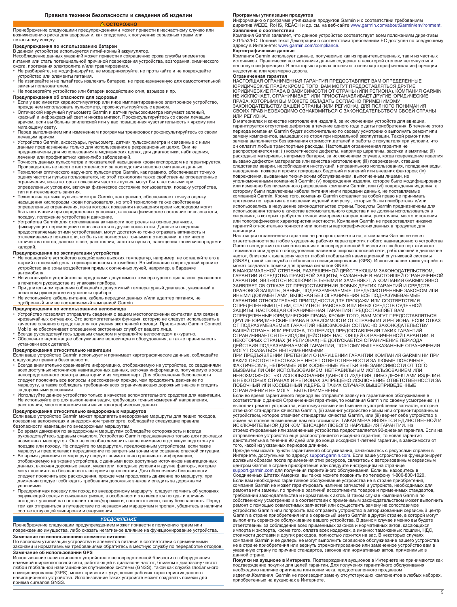# **ОСТОРОЖНО**

### <span id="page-8-0"></span>Пренебрежение следующими предупреждениями может привести к несчастному случаю или возникновению риска для здоровья и, как следствие, к получению серьезных травм или летальному исходу.

## **Предупреждения по использованию батареи**

В данном устройстве используется литий-ионный аккумулятор.<br>Несоблюдение данных указаний может привести к сокращению срока службы элементов<br>питания или стать потенциальной причиной повреждения устройства, возгорания, химич

ожога, протекания электролита и/или травмирования. • Не разбирайте, не модифицируйте, не модернизируйте, не протыкайте и не повреждайте

устройство или элементы питания. • Не извлекайте и не пытайтесь извлекать батарею, не предназначенную для самостоятельной замены пользователем.

# • Не подвергайте устройство или батареи воздействию огня, взрывов и пр.

- **Предупреждения об опасности для здоровья** • Если у вас имеется кардиостимулятор или иное имплантированное электронное устройство, прежде чем использовать пульсометр, проконсультируйтесь с врачом.
- Оптический наручный пульсометр Garmin и датчик пульсоксиметра излучают зеленый, красный и инфракрасный свет и иногда мигают. Проконсультируйтесь со своим лечащим врачом, если вы больны эпилепсией или у вас повышенная чувствительность к яркому или
- мигающему свету. • Перед выполнением или изменением программы тренировок проконсультируйтесь со своим лечащим врачом.
- Устройство Garmin, аксессуары, пульсометр, датчик пульсоксиметра и связанные с ними данные предназначены только для использования в рекреационных целях. Они не предназначены для использования в медицинских целях, для диагностики, наблюдения,
- лечения или профилактики каких-либо заболеваний. Точность данных пульсометра и показателей насыщения крови кислородом не гарантируется.
- Производитель не несет ответственности за последствия неверно считанных данных. Технология оптического наручного пульсометра Garmin, как правило, обеспечивает точную оценку частоты пульса пользователя, но этой технологии также свойственны определенные ограничения, из-за которых показания частоты пульса могут быть неточными при определенных условиях, включая физическое состояние пользователя, посадку устройства,
- тип и интенсивность занятия. Технология датчика пульсоксиметра Garmin, как правило, обеспечивает точную оценку насыщения кислородом крови пользователя, но этой технологии также свойственны определенные ограничения, из-за которых показания насыщения крови кислородом могут быть неточными при определенных условиях, включая физическое состояние пользователя, посадку, положение устройства и движение.
- Устройства Garmin для отслеживания активности построены на основе датчиков, фиксирующих перемещение пользователя и другие показатели. Данные и сведения, предоставляемые этими устройствами, могут достаточно точно отражать активность и отслеживаемые показатели, но быть не полностью точными в отношении, в том числе количества шагов, данных о сне, расстояния, частоты пульса, насыщения крови кислородом и калорий.

- **Предупреждения по эксплуатации устройства**<br>• Не подвергайте устройство воздействию высоких температур, например, не оставляйте его в<br>• жаркий солнечный день в припаркованном автомобиле. Во избежание повреждений храните устройство вне зоны воздействия прямых солнечных лучей, например, в бардачке автомобиля.
- Не используйте устройство за пределами допустимого температурного диапазона, указанного
- в печатном руководстве из упаковки прибора. При длительном хранении соблюдайте допустимый температурный диапазон, указанный в печатном руководстве из упаковки прибора.
- Не используйте кабель питания, кабель передачи данных и/или адаптер питания, не одобренный или не поставляемый компанией Garmin.

# **Предупреждения по использованию велосипеда**

- Устройство позволяет отправлять сведения о вашем местоположении контактам для связи в<br>чрезвычайных ситуациях. Это вспомогательная функция, которую не следует использовать в<br>качестве основного средства для получения экст
- Mobile не обеспечивает оповещение экстренных служб от вашего лица. Всегда руководствуйтесь здравым смыслом и управляйте велосипедом аккуратно. • Обеспечьте надлежащее обслуживание велосипеда и оборудования, а также правильность

## установки всех деталей.

**Предупреждения относительно навигации**

Если ваше устройство Garmin использует и принимает картографические данные, соблюдайте следующие правила безопасности.

- Всегда внимательно сравнивайте информацию, отображаемую на устройстве, со сведениями всех доступных источников навигационных данных, включая информацию, получаемую в ходе непосредственного осмотра акватории и из морских карт. Для обеспечения безопасности<br>следует прояснить все вопросы и расхождения прежде, чем продолжить движение по<br>маршруту, а также соблюдать требования всех ограничивающих за дорожными условиями. • Используйте данное устройство только в качестве вспомогательного средства для навигации.
- Не используйте его для выполнения задач, требующих точных измерений направления, расстояния, местоположения или иных топографических данных.

# **Предупреждения относительно внедорожных маршрутов**

Если ваше устройство Garmin может предлагать внедорожные маршруты для пеших походов,<br>поездок на велосипедах и внедорожном транспорте, соблюдайте следующие правила

- безопасности навигации по внедорожным маршрутам. Во время движения по внедорожным маршрутам соблюдайте осторожность и всегда руководствуйтесь здравым смыслом. Устройство Garmin предназначено только для прокладки возможных маршрутов. Оно не способно заменить ваше внимание и должную подготовку к поездке или походу. Не следуйте по маршрутам, предложенным устройством, если такие<br>• Во время движения по маршруту следу запартным зонам или создание опасной ситуации.<br>• Во время движения по маршруту следует внимательно с
- данных, включая дорожные знаки, указатели, погодные условия и другие факторы, которые<br>могут повлиять на безопасность во время путешествия. Для обеспечения безопасности<br>следует прояснить все расхождения, прежде чем продолж
- движении следует соблюдать требования дорожных знаков и следить за дорожными<br>условиями.<br>• Предпринимая поездку или поход по внедорожному маршруту, следует помнить об условиях<br>• Предпринимая поездку или поход по внедорожно соответствующей экипировки и снаряжения.

# *УВЕДОМЛЕНИЕ*

Пренебрежение следующим предупреждением может привести к получению травм или<br>повреждению имущества, либо оказать негативное влияние на функционирование устройства.

**Замечание по использованию элемента питания**<br>По вопросам утилизации устройства и элементов питания в соответствии с применимыми законами и нормативными требованиями обратитесь в местную службу по переработке отходов.

### **Замечание об использовании GPS**

Использование навигационного устройства в непосредственной близости от оборудования наземной широкополосной сети, работающей в диапазоне частот, близком к диапазону частот любой глобальной навигационной спутниковой системы (GNSS), такой как служба глобального позиционирования (GPS), может привести к ухудшению рабочих характеристик данного навигационного устройства. Использование таких устройств может создавать помехи для приема сигналов GNSS.

**Программы утилизации продуктов**<br>Информацию о программе утилизации продуктов Garmin и о соответствии требованиям<br>директив WEEE, RoHS, REACH и др. см. на веб-сайте [www.garmin.com/aboutGarmin/environment](http://www.garmin.com/aboutGarmin/environment).

# **Заявление о соответствии**

Компания Garmin заявляет, что данное устройство соответствует всем положениям директивы 2014/53/EC. Полный текст Декларации о соответствии требованиям ЕС доступен по следующему адресу в Интернете: [www.garmin.com/compliance.](http://www.garmin.com/compliance)

## **Картографические данные**

Компания Garmin использует данные, получаемые как из правительственных, так и из частных источников. Практически все источники данных содержат в некоторой степени неточную или неполную информацию. В некоторых странах полная и точная картографическая информация недоступна или чрезмерно дорога.

**Ограниченная гарантия** НАСТОЯЩАЯ ОГРАНИЧЕННАЯ ГАРАНТИЯ ПРЕДОСТАВЛЯЕТ ВАМ ОПРЕДЕЛЕННЫЕ ЮРИДИЧЕСКИЕ ПРАВА; КРОМЕ ТОГО, ВАМ МОГУТ ПРЕДОСТАВЛЯТЬСЯ ДРУГИЕ<br>ЮРИДИЧЕСКИЕ ПРАВА В ЗАВИСИМОСТИ ОТ СТРАНЫ (ИЛИ РЕГИОНА). КОМПАНИЯ GARMIN<br>НЕ ИСКЛЮЧАЕТ, ОГРАНИЧИВАЕТ ИЛИ ПРИОСТАНАВЛИВАЕТ ДРУГИЕ ЮРИДИЧЕСКИЕ<br>ПРАВА, КОТОРЫМИ В ИЛИ РЕГИОНА.

В материалах и качестве изготовления изделий, за исключением устройств для авиации, гарантируется отсутствие дефектов в течение одного года с даты приобретения. В течение этого<br>периода компания Garmin будет исключительно по своему усмотрению выполнять ремонт или<br>замену компонентов, вышедших из строя при замена выполняется без взимания стоимости деталей и работы с покупателя при условии, что<br>он оплатит любые транспортные расходы. Настоящая ограниченная гарантия не<br>распространяется на: (i) косметические дефекты, например ц вызвано дефектом материалов или качества изготовления; (iii) повреждения, ставшие следствием аварии, несоблюдения инструкций, неправильного использования, попадания воды, наводнения, пожара и прочих природных бедствий и явлений или внешних факторов; (iv)<br>повреждения, вызванные техническим обслуживанием, выполненным лицами, не<br>уполномоченными компанией Garmin; (v) повреждения изделия, котор которому были подключены кабели питания и/или передачи данных, не поставляемые<br>компанией Garmin. Кроме того, компания Garmin оставляет за собой право не принимать<br>претензии по гарантии в отношении изделий или услуг, котор

ситуациях, в которых требуется точное измерение направления, расстояния, местоположения или топографических характеристик местности. Компания Garmin не предоставляет никаких гарантий относительно точности или полноты картографических данных в продуктах для навигации.

Настоящая ограниченная гарантия не распространяется на, а компания Garmin не несет<br>ответственности за любое ухудшение рабочих характеристик любого навигационного устройства<br>Garmin вследствие его использования в непосредст

терминала или другого оборудования наземной широкополосной сети, работающей в диапазоне<br>частот, близком к диапазону частот любой глобальной навигационной спутниковой системы<br>(GNSS), такой как служба глобального позиционир ОТ ПОДРАЗУМЕВАЕМЫХ ГАРАНТИЙ НЕВОЗМОЖЕН СОГЛАСНО ЗАКОНОДАТЕЛЬСТВУ<br>ВАШЕЙ СТРАНЫ ИЛИ РЕГИОНА, ТО ПЕРИОД ПРЕДОСТАВЛЕНИЯ ТАКИХ ГАРАНТИЙ<br>ОГРАНИЧИВАЕТСЯ ПЕРИОДОМ ДЕЙСТВИЯ НАСТОЯЩЕЙ ОГРАНИЧЕННОЙ ГАРАНТИИ. В<br>НЕКОТОРЫХ СТРАНАХ (И Р ДЕЙСТВИЯ ПОДРАЗУМЕВАЕМОЙ ГАРАНТИИ, ПОЭТОМУ ВЫШЕУКАЗАННЫЕ ОГРАНИЧЕНИЯ<br>МОГУТ ОКАЗАТЬСЯ НЕПРИМЕНИМЫМИ.

ПРИ ПРЕДЪЯВЛЕНИИ ПРЕТЕНЗИИ О НАРУШЕНИИ ГАРАНТИИ КОМПАНИЯ GARMIN НИ ПРИ<br>КАКИХ ОБСТОЯТЕЛЬСТВАХ НЕ НЕСЕТ ОТВЕТСТВЕННОСТИ ЗА ЛЮБЫЕ ПОБОЧНЫЕ,<br>ФАКТИЧЕСКИЕ, НЕПРЯМЫЕ ИЛИ КОСВЕННЫЕ УБЫТКИ ВНЕ ЗАВИСИМОСТИ ОТ ТОГО, ВЫЗВАНЫ ЛИ ОНИ ИСПОЛЬЗОВАНИЕМ, НЕПРАВИЛЬНЫМ ИСПОЛЬЗОВАНИЕМ ИЛИ НЕВОЗМОЖНОСТЬЮ ИСПОЛЬЗОВАНИЯ ДАННОГО ИЗДЕЛИЯ, ЛИБО ДЕФЕКТАМИ ИЗДЕЛИЯ.<br>В НЕКОТОРЫХ СТРАНАХ И РЕГИОНАХ ЗАПРЕЩЕНО ИСКЛЮЧЕНИЕ ОТВЕТСТВЕННОСТИ ЗА<br>ПОБОЧНЫЙ ИЛИ КОСВЕННЫЙ УЩЕРБ. В ТАКИХ СЛУЧАЯХ ВЫШЕПРИВЕДЕННЫЕ ОГРАНИЧЕНИЯ НЕ МОГУТ БЫТЬ ПРИМЕНЕНЫ.

Если во время гарантийного периода вы отправите заявку на гарантийное обслуживание в соответствии с данной Ограниченной гарантией, то компания Garmin по своему усмотрению: (i) выполнит ремонт устройства, используя новые или бывшие в употреблении запчасти, которые<br>отвечают стандартам качества Garmin, (ii) заменит устройство новым или отремонтированным<br>устройством, которое отвечает стандартам кач

отремонтированные или замененные устройства предоставляется 90-дневная гарантия. Если на отправленное устройство еще распространяется исходная гарантия, то новая гарантия действительна в течение 90 дней или до конца исходной 1-летней гарантии, в зависимости от того, какой из указанных периодов длиннее.

Прежде чем искать пункты гарантийного обслуживания, ознакомьтесь с ресурсами справки в Интернете, доступными по адресу: [support.garmin.com.](http://www.support.garmin.com) Если ваше устройство не функционирует должным образом после применения этих ресурсов, свяжитесь с авторизованным сервисным<br>центром Garmin в стране приобретения или следуйте инструкциям на странице<br>[support.garmin.com](http://www.support.garmin.com) для получения гарантийного обслуживания. Ес

Если вам необходимо гарантийное обслуживание устройства не в стране приобретения,<br>компания Garmin не может гарантировать наличие запчастей и устройств, необходимых для<br>ремонта или замены, по причине различий ассортимента требований законодательства и нормативных актов. В таком случае компания Garmin по собственному усмотрению и в соответствии с применимым законодательством может выполнить

ремонт с помощью совместимых запчастей или осуществить замену на сопоставимое<br>устройство Garmin или попросить вас отправить устройство в авторизованный сервисный центр<br>Garmin в стране приобретения или в сервисный центр Ga ответственны за соблюдение всех применимых законов и нормативных актов, касающихся импорта и экспорта, кроме того, оплата всех издержек, а именно: таможенных пошлин, НДС, стоимости доставки и других расходов, полностью ложится на вас. В некоторых случаях<br>компания Garmin и ее дилеры не могут выполнить сервисное обслуживание вашего устройства<br>не в стране приобретения или вернуть отремонтиров данной стране.

**Покупки на аукционе в Интернете**. Подтверждения аукционов в Интернете не принимаются как<br>подтверждение покупки для целей гарантии. Для получения гарантийного обслуживания<br>необходимо наличие оригинала или копии чека, пред

приобретенных на аукционах в Интернете.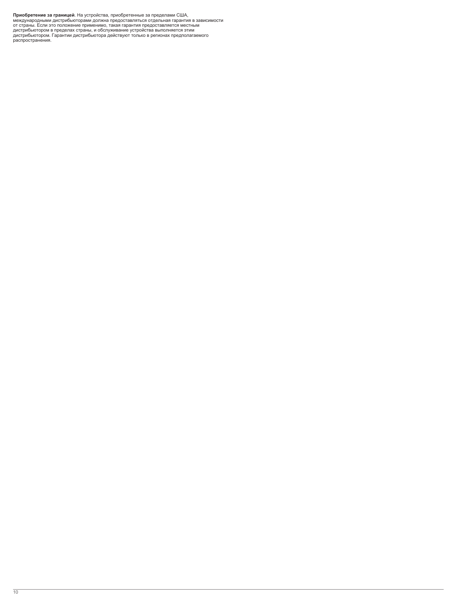**Приобретение за границей**. На устройства, приобретенные за пределами США,<br>международными дистрибьюторами должна предоставляться отдельная гарантия в зависимости<br>от страны. Если это положение применимо, такая гарантия пре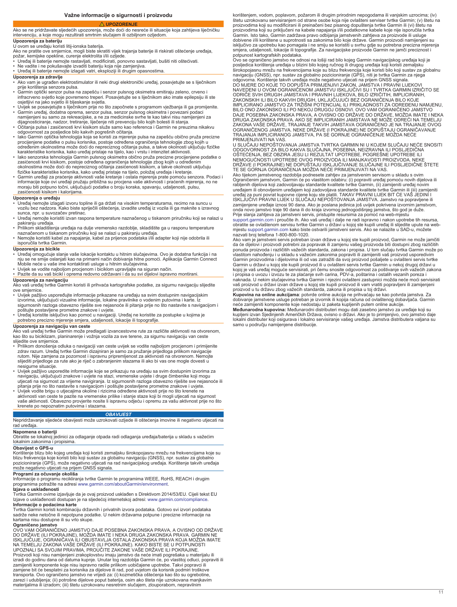## **Važne informacije o sigurnosti i proizvodu**

# **UPOZORENJE**

<span id="page-10-0"></span>Ako se ne pridržavate sljedećih upozorenja, može doći do nesreće ili situacije koja zahtijeva liječničku intervenciju, a koje mogu rezultirati smrtnim slučajem ili ozbiljnom ozljedom. **Upozorenja za bateriju**

- U ovom se uređaju koristi litij-ionska baterija. Ako ne pratite ove smjernice, mogli biste skratiti vijek trajanja baterije ili riskirati oštećenje uređaja,<br>požar, kemijske opekline, curenje elektrolita i/ili ozljede.<br>• Uređaj ili baterije nemojte rastavljati, modifici
- 
- 
- Ne vadite i ne pokušavajte izvaditi bateriju koja nije zamjenjiva. Uređaj ili baterije nemojte izlagati vatri, eksploziji ili drugim opasnostima.

## **Upozorenja za zdravlje**

- Ako vam je ugrađen elektrostimulator ili neki drugi elektronički uređaj, posavjetujte se s liječnikom prije korištenja senzora pulsa.
- Garmin optički senzor pulsa na zapešću i senzor pulsnog oksimetra emitiraju zeleno, crveno i<br>osinfracrveno svjetlo koje povremeno treperi. Posavjetujte se s liječnikom ako imate epilepsiju ili ste<br>osjetljivi na jako svj
- Garmin uređaj, dodatna oprema, senzor pulsa, senzor pulsnog oksimetra i povezani podaci namijenjeni su samo za rekreacijske, a ne za medicinske svrhe te kao takvi nisu namijenjeni za
- dijagnosticiranje, nadzor, tretiranje, liječenje niti prevenciju bilo kojih bolesti ili stanja. Očitanja pulsa i zasićenosti krvi kisikom služe samo kao referenca i Garmin ne preuzima nikakvu
- 
- odgovornost za posljedice bilo kakvih pogrešnih očitanja.<br>• lako Garmin optička tehnologija koja se koristi za mjerenje pulsa na zapešću obično pruža precizne<br>procijenjene podatke o pulsu korisnika, postoje određena ograni
- lako senzorska tehnologija Garmin pulsnog oksimetra obično pruža precizne procijenjene podatke o<br>zasićenosti krvi kisikom, postoje određena ograničenja tehnologije zbog kojih u određenim<br>okolnostima može doći do nepreciz
- Garmin uređaji za praćenje aktivnosti vaše kretanje i ostala mjerenja prate pomoću senzora. Podaci i informacije koje ovi uređaji pružaju približna su procjena vaše aktivnosti i praćenih mjerenja, no ne moraju biti potpuno točni, uključujući podatke o broju koraka, spavanju, udaljenosti, pulsu, zasićenosti kisikom i kalorijama.

## **Upozorenja o uređaju**

- Uređaj nemojte izlagati izvoru topline ili ga držati na visokim temperaturama, recimo na suncu u vozilu bez nadzora. Kako biste spriječili oštećenja, izvadite uređaj iz vozila ili ga maknite s izravnog sunca, npr. u suvozačev pretinac.
- Uređaj nemojte koristiti izvan raspona temperature naznačenog u tiskanom priručniku koji se nalazi u
- pakiranju uređaja. Prilikom skladištenja uređaja na dulje vremensko razdoblje, skladištite ga u rasponu temperature naznačenom u tiskanom priručniku koji se nalazi u pakiranju uređaja.
- Nemojte koristiti kabel za napajanje, kabel za prijenos podataka i/ili adapter koji nije odobrila ili isporučila tvrtka Garmin.

### **Upozorenja za bicikle**

- Uređaj omogućuje slanje vaše lokacije kontaktu u hitnim slučajevima. Ovo je dodatna funkcija i na nju se ne smije oslanjati kao na primarni način dobivanja hitne pomoći. Aplikacija Garmin Connect – Mobile neće u vaše ime kontaktirati usluge u hitnim slučajevima.<br>• Uvijek se vodite najboljom procjenom i biciklom upravljajte na siguran način.<br>• Pazite da su vaš bicikl i oprema redovno održavani i da su svi dijelov
- 
- 

- **Upozorenja za navigaciju**<br>Ako vaš uređaj tvrtke Garmin koristi ili prihvaća kartografske podatke, za sigurnu navigaciju slijedite ove smjernice.
- Uvijek pažljivo uspoređujte informacije prikazane na uređaju sa svim dostupnim navigacijskim izvorima, uključujući vizualne informacije, lokalne pravilnike o vodenim putovima i karte. Iz sigurnosnih razloga obavezno riješite sve nejasnoće ili pitanja prije no što nastavite s navigacijom i poštujte postavljene prometne znakove i uvjete.
- Uređaj koristite isključivo kao pomoć u navigaciji. Uređaj ne koristite za postupke u kojima je potrebno precizno mjerenje smjera, udaljenosti, lokacije ili topografije.

## **Upozorenja za navigaciju van ceste**

Ako vaš uređaj tvrtke Garmin može predlagati izvancestovne rute za različite aktivnosti na otvorenom,<br>kao što su biciklizam, planinarenje i vožnja vozila za sve terene, za sigurnu navigaciju van ceste slijedite ove smjernice.<br>• Prilikom donošenja

- Prilikom donošenja odluka o navigaciji van ceste uvijek se vodite najboljom procjenom i primijenite<br>2drav razum. Uređaj tvrtke Garmin dizajniran je samo za pružanje prijedloga prilikom navigacije<br>1991- rutom. Nije zamje slijediti prijedloge za rute ako je riječ o zabranjenim stazama ili ako bi vas one mogle dovesti u nesigurne situacije.
- Uvijek pažljivo usporedite informacije koje se prikazuju na uređaju sa svim dostupnim izvorima za<br> navigaciju, uključujući znakove i uvjete na stazi, vremenske uvjete i druge čimbenike koji mogu<br> utjecati na sigurnost
- pitanja prije no što nastavite s navigacijom i poštujte postavljene prometne znakove i uvjete.<br>• Uvijek vodite brigu o utjecajima okoline i rizicima određene aktivnosti prije no što krenete na<br>aktivnosti van ceste te pazit krenete po nepoznatim putovima i stazama.

### *OBAVIJEST*

Nepridržavanje sljedeće obavijesti može uzrokovati ozljede ili oštećenja imovine ili negativno utjecati na rad uređaja.

## **Napomena o bateriji**

Obratite se lokalnoj jedinici za odlaganje otpada radi odlaganja uređaja/baterija u skladu s važećim lokalnim zakonima i propisima.

## **Obavijest o GPS-u**

Korištenje blizu bilo kojeg uređaja koji koristi zemaljsku širokopojasnu mrežu na frekvencijama koje su blizu frekvencija koje koristi bilo koji sustav za globalnu navigaciju (GNSS), npr. sustav za globalno<br>pozicioniranje (GPS), može negativno utjecati na rad navigacijskog uređaja. Korištenje takvih uređaja<br>može negativno ut

**Programi za očuvanje okoliša** Informacije o programu recikliranja tvrtke Garmin te programima WEEE, RoHS, REACH i drugim programima potražite na adresi [www.garmin.com/aboutGarmin/environment.](http://www.garmin.com/aboutGarmin/environment)

## **Izjava o usklađenosti**

Tvrtka Garmin ovime izjavljuje da je ovaj proizvod usklađen s Direktivom 2014/53/EU. Cijeli tekst EU Izjave o usklađenosti dostupan je na sljedećoj internetskoj adresi: [www.garmin.com/compliance](http://www.garmin.com/compliance). **Informacije o podacima karte**

Tvrtka Garmin koristi kombinaciju državnih i privatnih izvora podataka. Gotovo svi izvori podataka<br>sadrže neke netočne ili nepotpune podatke. U nekim državama potpune i precizne informacije na<br>kartama nisu dostupne ili su

**Ograničeno jamstvo**<br>OVO VAM OGRANIČENO JAMSTVO DAJE POSEBNA ZAKONSKA PRAVA, A OVISNO OD DRŽAVE<br>DO DRŽAVE (ILI POKRAJINE), MOŽDA IMATE I NEKA DRUGA ZAKONSKA PRAVA. GARMIN NE<br>ISKLJUČUJE, OGRANIČAVA ILI OBUSTAVLJA OSTALA ZAK Proizvodi koji nisu namijenjeni zrakoplovstvu imaju jamstvo da neće imati pogrešaka u materijalu ili<br>izradi do godinu dana od datuma kupnje. Unutar tog razdoblja Garmin će, po vlastitoj odluci, popraviti ili<br>zamijeniti kom zamjene bit će besplatni za korisnika za dijelove ili rad, pod uvjetom da korisnik podmiri troškove transporta. Ovo ograničeno jamstvo ne vrijedi za: (i) kozmetička oštećenja kao što su ogrebotine, zarezi i udubljenja; (ii) potrošne dijelove poput baterija, osim ako šteta nije uzrokovana manjkavim materijalima ili izradom; (iii) štetu uzrokovanu nesretnim slučajem, zlouporabom, nepravilnim

korištenjem, vodom, poplavom, požarom ili drugim prirodnim nepogodama ili vanjskim uzrocima; (iv) štetu uzrokovanu servisiranjem od strane osobe koja nije ovlašteni serviser tvrtke Garmin; (v) štetu na proizvodima koji su modificirani ili preinačeni bez pisanog dopuštenja tvrtke Garmin ili (vi) štetu na<br>proizvodima koji su priključeni na kabele napajanja i/ili podatkovne kabele koje nije isporučila tvrtka Garmin. Isto tako, Garmin zadržava pravo odbijanja jamstvenih zahtjeva za proizvode ili usluge dobivene i/ili korištene u suprotnosti sa zakonima bilo koje države. Garmin proizvodi namijenjeni su isključivo za upotrebu kao pomagala i ne smiju se koristiti u svrhu gdje su potrebna precizna mjerenja smjera, udaljenosti, lokacije ili topografije. Za navigacijske proizvode Garmin ne jamči preciznost i

potpunost kartografskih podataka.<br>Ovo se ograničeno jamstvo ne odnosi na lošiji rad bilo kojeg Garmin navigacijskog uređaja koji je<br>posljedica korištenja uređaja u blizini bilo kojeg ručnog ili drugog uređaja koji koristi širokopojasnu mrežu na frekvencijama koje su blizu frekvencija koje koristi bilo koji sustav za globalnu navigaciju (GNSS), npr. sustav za globalno pozicioniranje (GPS), niti je tvrtka Garmin za njega

odgovorna. Korištenje takvih uređaja može negativno utjecati na prijem GNSS signala.<br>DO MJERE DO KOJE TO DOPUŠTA PRIMJENJIVI ZAKON, JAMSTVA I PRAVNI LIJEKOVI<br>NAVEDENI U OVOM OGRANIČENOM JAMSTVU ISKLJUČIVI SU I TVRTKA GARMI ODRIČE SVIH DRUGIH JAMSTAVA I PRAVNIH LIJEKOVA, BILO IZRIČITIH, IMPLICIRANIH,<br>ZAKONSKIH ILI BILO KAKVIH DRUGIH, UKLJUČUJUĆI BEZ OGRANIČENJA BILO KOJE<br>IMPLICIRANO JAMSTVO ZA TRŽIŠNI POTENCIJAL ILI PRIKLADNOSTI ZA ODREĐENU N DAJE POSEBNA ZAKONSKA PRAVA, A OVISNO OD DRŽAVE DO DRŽAVE, MOŽDA IMATE I NEKA DRUGA ZAKONSKA PRAVA. AKO SE IMPLICIRANIH JAMSTAVA NE MOŽE ODREĆI NA TEMELJU ZAKONA VAŠE DRŽAVE, TRAJANJE TAKVIH JAMSTAVA OGRANIČENO JE NA TRAJANJE OVOG<br>OGRANIČENOG JAMSTVA. NEKE DRŽAVE (I POKRAJINE) NE DOPUŠTAJU OGRANIČAVANJE<br>TRAJANJA IMPLICIRANOG JAMSTVA, PA SE GORNJE OGRANIČENJE MOŽDA NEĆE PRIMJENJIVATI NA VAS.

U SLUČAJU NEPOŠTOVANJA JAMSTVA TVRTKA GARMIN NI U KOJEM SLUČAJU NEĆE SNOSITI<br>ODGOVORNOST ZA BILO KAKVA SLUČAJNA, POSEBNA, NEIZRAVNA ILI POSLJEDIČNA<br>OŠTEĆENJA, BEZ OBZIRA JESU LI REZULTAT UPOTREBE, POGREŠNE UPOTREBE ILI NEMOGUĆNOSTI UPOTREBE OVOG PROIZVODA ILI MANJKAVOSTI PROIZVODA. NEKE<br>DRŽAVE (I POKRAJINE) NE DOPUŠTAJU ISKLJUČIVANJE SLUČAJNE ILI POSLJEDIČNE ŠTETE TE SE GORNJA OGRANIČENJA MOŽDA NEĆE PRIMJENJIVATI NA VAS.

Ako tijekom jamstvenog razdoblja podnesete zahtjev za jamstvenim servisom u skladu s ovim<br>Ograničenim jamstvom, Garmin će po vlastitom odabiru: (i) popraviti uređaj pomoću novih dijelova ili<br>rabljenih dijelova koji zadovol uređajem ili obnovljenim uređajem koji zadovoljava standarde kvalitete tvrtke Garmin ili (iii) zamijeniti<br>uređaj za puni povrat kupovne cijene koju ste platili. TAKAV PRAVNI LIJEK BIT ĆE VAŠ JEDINI I<br>ISKLJUČIVI PRAVNI LIJE

[support.garmin.com](http://www.support.garmin.com) i proučite ih. Ako vaš uređaj i dalje ne radi ispravno i nakon upotrebe tih resursa,<br>obratite se ovlaštenom servisu tvrtke Garmin u državi u kojoj ste kupili uređaj ili slijedite upute na web-<br>mjestu sup

Ako vam je jamstveni servis potreban izvan države u kojoj ste kupili proizvod, Garmin ne može jamčiti<br>da će dijelovi i proizvodi potrebni za popravak ili zamjenu vašeg proizvoda biti dostupni zbog različitih ponuda proizvoda i različitih važećih standarda, zakona i propisa. U tom slučaju tvrtka Garmin može po vlastitom nahođenju i u skladu s važećim zakonima popraviti ili zamijeniti vaš proizvod usporedivim<br>Garmin proizvodima i dijelovima ili od vas zatražiti da svoj proizvod pošaljete u ovlašteni servis tvrtke<br>Garmin u državi kojoj je vaš uređaj moguće servisirati, pri čemu snosite odgovornost za poštivanje svih važećih zakona<br>i propisa o uvozu i izvozu te za plaćanje svih carina, PDV-a, poštarina i ostalih vezanih poreza i<br>naknada. U nekim slu

vaš proizvod u državi izvan države u kojoj ste kupili proizvod ili vam vratiti popravljeni ili zamijenjeni proizvod u tu državu zbog važećih standarda, zakona ili propisa u toj državi. **Kupovina na online aukcijama**: potvrde online aukcija ne prihvaćaju se kao potvrda jamstva. Za<br>dobivanje jamstvene usluge potreban je izvornik ili kopija računa od ovlaštenog dobavljača. Garmin<br>neće zamijeniti komponente

kupljeni izvan Sjedinjenih Američkih Država, ovisno o državi. Ako je to primjenjivo, ovo jamstvo daje lokalni distributer koji osigurava i lokalno servisiranje vašeg uređaja. Jamstva distributera valjana su samo u područiu namijenjene distribucije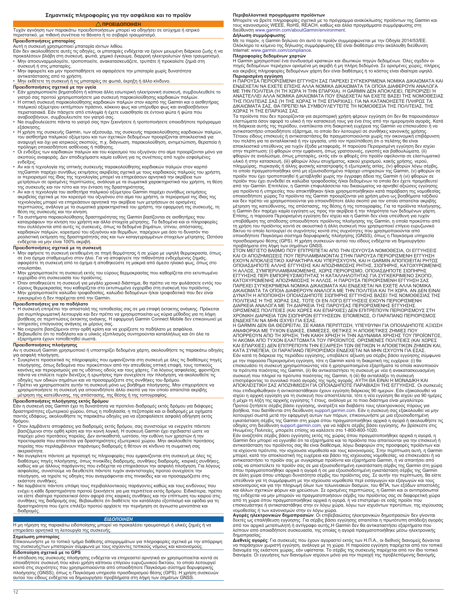# **ΠΡΟΕΙΔΟΠΟΙΗΣΗ**

### <span id="page-11-0"></span>Τυχόν αγνόηση των παρακάτω προειδοποιήσεων μπορεί να οδηγήσει σε ατύχημα ή ιατρικό περιστατικό, με πιθανή συνέπεια το θάνατο ή το σοβαρό τραυματισμό. **Προειδοποιήσεις μπαταρίας**

Αυτή η συσκευή χρησιμοποιεί μπαταρία ιόντων λιθίου.<br>Εάν δεν ακολουθήσετε αυτές τις οδηγίες, οι μπαταρίες ενδέχεται να έχουν μειωμένη διάρκεια ζωής ή να<br>προκαλέσουν βλάβη στη συσκευή, φωτιά, χημικό έγκαυμα, διαρροή ηλεκτρο

- συσκευή ή στις μπαταρίες. Μην αφαιρείτε και μην προσπαθήσετε να αφαιρέσετε την μπαταρία χωρίς δυνατότητα
- αντικατάστασης από το χρήστη. Μην εκθέτετε τη συσκευή ή τις μπαταρίες σε φωτιά, έκρηξη ή άλλο κίνδυνο.
- **Προειδοποιήσεις σχετικά με την υγεία**
- Εάν χρησιμοποιείτε βηματοδότη ή κάποια άλλη εσωτερική ηλεκτρονική συσκευή, συμβουλευθείτε το<br>• Η οπτική συσκευή παρακολούθησης καρδιακών παλρακολούθησης καρδιακών παλμών.<br>• Η οπτική συσκευή παρακολούθησης καρδιακών παλμ
- περιστασιακά. Εάν πάσχετε από επιληψία ή έχετε ευαισθησία σε έντονα φώτα ή φώτα που αναβοσβήνουν, συμβουλευτείτε τον γιατρό σας. Να συμβουλεύεστε πάντα το γιατρό σας πριν ξεκινήσετε ή τροποποιήσετε οποιοδήποτε πρόγραμμα
- εξάσκησης.
- Η χρήση της συσκευής Garmin, των αξεσουάρ, της συσκευής παρακολούθησης καρδιακών παλμών,<br>- του αισθητήρα παλμικού οξύμετρου και των σχετικών δεδομένων προορίζονται αποκλειστικά για<br>- αναψυχή και όχι για ιατρικούς σκοπού
- σκοπούς αναφοράς. Δεν αποδεχόμαστε καμία ευθύνη για τις συνέπειες από τυχόν εσφαλμένες
- ενδείξεις.<br>• Αν και η τεχνολογία της οπτικής συσκευής παρακολούθησης καρδιακών παλμών στον καρπό<br>- τηςGarmin παρέχει συνήθως εκτιμήσεις ακριβείας σχετικά με τους καρδιακούς παλμούς του χρήστη, οι περιορισμοί της ίδιας της τεχνολογίας μπορεί να επηρεάσουν αρνητικά την ακρίβεια των μετρήσεων σε ορισμένες περιπτώσεις, ανάλογα με τα σωματικά χαρακτηριστικά του χρήστη, τη θέση
- της συσκευής και τον τύπο και την ένταση της δραστηριότητας.<br>• Αν και η τεχνολογία του αισθητήρα παλμικού οξύμετρου Garmin παρέχει συνήθως εκτιμήσεις<br>ακριβείας σχετικά με τον κορεσμό του οξυγόνου στο αίμα του χρήστη, οι
- περιπτώσεις, ανάλογα με τα σωματικά χαρακτηριστικά του χρήστη, την εφαρμογή της συσκευής, τη<br>θέση της συσκευής και την κίνηση.<br>• Τα συστήματα παρακολούθησης δραστηριότητας της Garmin βασίζονται σε αισθητήρες που<br>κατογράφο

- **Προειδοποιήσεις σχετικά με τη συσκευή**<br>• Μην αφήνετε τη συσκευή εκτεθειμένη σε πηγή θερμότητας ή σε χώρο με υψηλή θερμοκρασία, όπως<br>σε ένα όχημα σταθμευμένο στον ήλιο. Για να αποφύγετε την πιθανότητα ενδεχόμενης ζημιάς,<br> ντουλαπάκι.
- Μην χρησιμοποιείτε τη συσκευή εκτός του εύρους θερμοκρασίας που καθορίζεται στο εκτυπωμένο
- εγχειρίδιο στη συσκευασία του προϊόντος.<br>• Όταν αποθηκεύετε τη συσκευή για μεγάλο χρονικό διάστημα, θα πρέπει να την φυλάσσετε εντός του<br>- έύρους θερμοκρασίας που καθορίζεται στο εκτυπωμένο εγχειρίδιο στη συσκευή του προϊ
- εγκεκριμένο ή δεν παρέχεται από την Garmin.

# **Προειδοποιήσεις για το ποδήλατο**

- Η συσκευή επιτρέπει την αποστολή της τοποθεσίας σας σε μια επαφή έκτακτης ανάγκης. Πρόκειται<br>για συμπληρωματική λειτουργία και δεν πρέπει να χρησιμοποιείται ως κύρια μέθοδος για τη λήψη<br>βοήθειας σε περιπτώσεις έκτακτης
- εξαρτήματα έχουν τοποθετηθεί σωστά.

**Προειδοποιήσεις πλοήγησης**<br>Αν η συσκευή Garmin χρησιμοποιεί ή υποστηρίζει δεδομένα χάρτη, ακολουθήστε τις παρακάτω οδηγίες

- για ασφαλή πλοήγηση.<br>• Συγκρίνετε προσεκτικά τις πληροφορίες που εμφανίζονται στη συσκευή με όλες τις διαθέσιμες πηγές<br>• πλοήγησης, όπως δεδομένα που προκύπτουν από την απευθείας οπτική επαφή, τους τοπικούς<br>κανόνες και πε
- 

### **Προειδοποιήσεις πλοήγησης εκτός δρόμου**

Εάν η συσκευή σας Garmin έχει τη δυνατότητα να προτείνει διαδρομές εκτός δρόμου για διάφορες δραστηριότητες εξωτερικού χώρου, όπως η ποδηλασία, η πεζοπορία και οι διαδρομές με οχήματα παντός εδάφους, ακολουθήστε τις παρακάτω οδηγίες για να εξασφαλίσετε ασφαλή οδήγηση εκτός

- δρόμου.<br>• Όταν λαμβάνετε αποφάσεις για διαδρομές εκτός δρόμου, σας συνιστούμε να ενεργείτε πάντοτε<br>βασιζόμενοι στην ορθή κρίση και την κοινή λογική. Η συσκευή Garmin έχει σχεδιαστεί ώστε να<br>παρέχει μόνο προτάσεις πορείας. παρέχει μόνο προτάσεις πορείας. Δεν αντικαθιστά, ωστόσο, την ευθύνη των χρηστών ή την<br>προετοιμασία που απαιτείται για δραστηριότητες εξωτερικού χώρου. Μην ακολουθείτε προτάσεις πορείας που περιλαμβάνουν παράνομες διαδρομές ή θέτουν σε κίνδυνο τη σωματική σας ακεραιότητα.
- Να συγκρίνετε πάντοτε με προσοχή τις πληροφορίες που εμφανίζονται στη συσκευή με όλες τις<br> διαθέσιμες πηγές πλοήγησης, όπως πινακίδες διαδρομής, συνθήκες διαδρομής, καιρικές συνθήκες, καθώς και με άλλους παράγοντες που ενδέχεται να επηρεάσουν την ασφαλή πλοήγηση. Για λόγους<br>ασφαλείας, συνιστούμε να διευθετείτε πάντοτε τυχόν αναντιστοιχίες προτού συνεχίσετε την<br>πλοήγηση, να τηρείτε τις οδηγίες που αναγρ
- εκάστοτε συνθήκες. Να λαμβάνετε πάντοτε υπόψη τους περιβαλλοντικούς παράγοντες καθώς και τους κινδύνους που ενέχει η κάθε δραστηριότητα προτού ξεκινήσετε για μια περιπέτεια εκτός δρόμου. Ειδικότερα, πρέπει<br>να είστε ιδιαίτερα προσεκτικοί όσον αφορά στις καιρικές συνθήκες και την επίπτωση του καιρού στις<br>συνθήκες της διαδρομής σα διαδρομές.

# *ΕΙΔΟΠΟΙΗΣΗ*

Η μη τήρηση της παρακάτω ειδοποίησης μπορεί να προκαλέσει τραυματισμό ή υλικές ζημιές ή να επηρεάσει αρνητικά τη λειτουργία της συσκευής.

**Σημείωση μπαταρίας** Επικοινωνήστε με το τοπικό τμήμα διάθεσης απορριμμάτων για πληροφορίες σχετικά με την απόρριψη της συσκευής/των μπαταριών σύμφωνα με τους ισχύοντες τοπικούς νόμους και κανονισμούς. **Ειδοποίηση σχετικά με το GPS**

Η απόδοση της συσκευής πλοήγησης ενδέχεται να επηρεαστεί αρνητικά αν χρησιμοποιείται κοντά σε<br>οποιαδήποτε συσκευή που κάνει χρήση κάποιου επίγειου ευρυζωνικού δικτύου, το οποίο λειτουργεί<br>κοντά στις συχνότητες που χρησιμο αυτού του είδους ενδέχεται να δημιουργήσει προβλήματα στη λήψη των σημάτων GNSS.

**Περιβαλλοντικά προγράμματα προϊόντων**<br>Μπορείτε να βρείτε πληροφορίες σχετικά με το πρόγραμμα ανακύκλωσης προϊόντων της Garmin και<br>τους κανονισμούς WEEE, RoHS, REACH, καθώς και άλλα προγράμματα συμμόρφωσης στη<br>διεύθυνση w

**Δήλωση συμμόρφωσης** Με το παρόν, η Garmin δηλώνει ότι αυτό το προϊόν συμμορφώνεται με την Οδηγία 2014/53/ΕΕ. Ολόκληρο το κείμενο της δήλωσης συμμόρφωσης ΕΕ είναι διαθέσιμο στην ακόλουθη διεύθυνση Internet: [www.garmin.com/compliance](http://www.garmin.com/compliance).

**Πληροφορίες δεδομένων χαρτών**<br>Η Garmin χρησιμοποιεί ένα συνδυασμό κρατικών και ιδιωτικών πηγών δεδομένων. Όλες σχεδόν οι<br>πηγές δεδομένων περιέχουν ορισμένα μη ακριβή ή μη πλήρη δεδομένα. Σε ορισμένες χώρες, πλήρεις<br>και α

**Περιορισμένη εγγύηση** Η ΠΑΡΟΥΣΑ ΠΕΡΙΟΡΙΣΜΕΝΗ ΕΓΓΥΗΣΗ ΣΑΣ ΠΑΡΕΧΕΙ ΣΥΓΚΕΚΡΙΜΕΝΑ ΝΟΜΙΚΑ ΔΙΚΑΙΩΜΑΤΑ ΚΑΙ ΕΝΔΕΧΕΤΑΙ ΝΑ ΕΧΕΤΕ ΕΠΙΣΗΣ ΑΛΛΑ ΝΟΜΙΚΑ ΔΙΚΑΙΩΜΑΤΑ ΤΑ ΟΠΟΙΑ ΔΙΑΦΕΡΟΥΝ ΑΝΑΛΟΓΑ<br>ΜΕ ΤΗΝ ΠΟΛΙΤΕΙΑ (Ή ΤΗ ΧΩΡΑ Ή ΤΗΝ ΕΠΑΡΧΙΑ). Η GARMIN ΔΕΝ ΑΠΟΚΛΕΙΕΙ, ΠΕΡΙΟΡΙΖΕΙ Ή<br>ΑΝΑΣΤΕΛΛΕΙ ΑΛΛΑ ΝΟΜΙΚΑ ΔΙΚΑΙΩΜΑΤΑ ΠΟΥ ΕΝΔΕΧΕΤΑΙ ΝΑ ΕΧΕΤΕ ΒΑΣΕΙ ΤΗ ΧΩΡΑΣ Ή ΤΗΣ ΕΠΑΡΧΙΑΣ ΣΑΣ.

Τα προϊόντα που δεν προορίζονται για αεροπορική χρήση φέρουν εγγύηση ότι δεν θα παρουσιάσουν<br>ελαττώματα όσον αφορά το υλικό ή την κατασκευή τους για ένα έτος από την ημερομηνία αγοράς. Κατά<br>τη διάρκεια αυτής της περιόδου, του πελάτη για τα ανταλλακτικά ή την εργασία, υπό τον προϋπόθεση ότι ο πελάτης θα είναι<br>αποκλειστικά υπεύθυνος για τυχόν έξοδα μεταφοράς. Η παρούσα Περιορισμένη εγγύηση δεν ισχύει<br>στην περίπτωση: (i) φθορών στην εμφάνιση, υλικό ή στην κατασκευή, (iii) φθορών λόγω ατυχήματος, κακού χειρισμού, κακής χρήσης, νερού,<br>πλημμύρας, πυρκαγιάς ή άλλης φυσικής καταστροφής ή εξωτερικής αιτίας, (iv) φθορών λόγω σέρβις,<br>το οποίο πραγματοποιήθηκε από μη ε για προϊόντα ή υπηρεσίες που αποκτήθηκαν ή/και χρησιμοποιήθηκαν κατά παράβαση της νομοθεσίας<br>οποιασδήποτε χώρας.Τα προϊόντα της Garmin προορίζονται για χρήση μόνο ως βοηθήματα ταξιδιού<br>και δεν πρέπει να χρησιμοποιούνται γ

ΕΧΟΥΝ ΑΠΟΚΛΕΙΣΤΙΚΟ ΧΑΡΑΚΤΗΡΑ ΚΑΙ ΥΠΕΡΙΣΧΥΟΥΝ, ΚΑΙ Η GARMIN ΑΠΟΠΟΙΕΙΤΑΙ ΡΗΤΩΣ<br>ΟΠΟΙΑΣΔΗΠΟΤΕ ΑΛΛΗΣ ΕΓΓΥΗΣΗΣ ΚΑΙ ΑΠΟΖΗΜΙΩΣΗΣ ΡΗΤΗΣ, ΣΙΩΠΗΡΗΣ, ΚΑΤΟΧΥΡΩΜΕΝΗΣ Ή ΑΛΛΩΣ, ΣΥΜΠΕΡΙΛΑΜΒΑΝΟΜΕΝΗΣ, ΧΩΡΙΣ ΠΕΡΙΟΡΙΣΜΟ, ΟΠΟΙΑΣΔΗΠΟΤΕ ΣΙΩΠΗΡΗΣ<br>ΕΓΓΥΗΣΗΣ ΠΕΡΙ ΕΜΠΟΡΕΥΣΙΜΟΤΗΤΑΣ Ή ΚΑΤΑΛΛΗΛΟΤΗΤΑΣ ΓΙΑ ΣΥΓΚΕΚΡΙΜΕΝΟ ΣΚΟΠΟ, ΚΑΤΟΧΥΡΩΜΕΝΗΣ ΑΠΟΖΗΜΙΩΣΗΣ Ή ΑΛΛΩΣ. Η ΠΑΡΟΥΣΑ ΠΕΡΙΟΡΙΣΜΕΝΗ ΕΓΓΥΗΣΗ ΣΑΣ<br>ΠΑΡΕΧΕΙ ΣΥΓΚΕΚΡΙΜΕΝΑ ΝΟΜΙΚΑ ΔΙΚΑΙΩΜΑΤΑ ΚΑΙ ΕΝΔΕΧΕΤΑΙ ΝΑ ΕΧΕΤΕ ΑΛΛΑ ΝΟΜΙΚΑ<br>ΔΙΚΑΙΩΜΑΤΑ ΤΑ ΟΠΟΙΑ ΔΙΑΦΕΡΟΥΝ ΑΝΑΛΟΓΑ ΜΕ ΤΗΝ ΠΟΛΙΤΕΙΑ ΚΑΙ ΤΗ ΧΩΡΑ. ΑΝ ΔΕΝ ΕΙΝ ΠΟΛΙΤΕΙΑΣ Ή ΤΗΣ ΧΩΡΑΣ ΣΑΣ, ΤΟΤΕ ΟΙ ΕΝ ΛΟΓΩ ΕΓΓΥΗΣΕΙΣ ΕΧΟΥΝ ΠΕΡΙΟΡΙΣΜΕΝΗ<br>ΔΙΑΡΚΕΙΑ ΑΝΑΛΟΓΑ ΜΕ ΤΗ ΔΙΑΡΚΕΙΑ ΤΗΣ ΠΑΡΟΥΣΑΣ ΠΕΡΙΟΡΙΣΜΕΝΗΣ ΕΓΓΥΗΣΗΣ.<br>ΟΡΙΣΜΕΝΕΣ ΠΟΛΙΤΕΙΕΣ (ΚΑΙ ΧΩΡΕΣ ΚΑΙ ΕΠΑΡΧΙΕΣ) ΔΕΝ ΕΠΙΤΡΕΠΟΥΝ ΠΕΡΙΟΡΙΣΜΟΥΣ ΣΤΗ<br>ΧΡΟ

Η GARMIN ΔΕΝ ΘΑ ΘΕΩΡΕΙΤΑΙ, ΣΕ ΚΑΜΙΑ ΠΕΡΙΠΤΩΣΗ, ΥΠΕΥΘΥΝΗ ΓΙΑ ΟΠΟΙΑΔΗΠΟΤΕ ΑΞΙΩΣΗ<br>ΑΝΑΦΟΡΙΚΑ ΜΕ ΤΥΧΟΝ ΕΙΔΙΚΕΣ, ΕΜΜΕΣΕΣ, ΘΕΤΙΚΕΣ Ή ΑΠΟΘΕΤΙΚΕΣ ΖΗΜΙΕΣ ΠΟΥ<br>ΑΠΟΡΡΕΟΥΝ ΑΠΟ ΤΗ ΧΡΗΣΗ, ΤΗΝ ΚΑΚΗ ΧΡΗΣΗ Ή ΤΗΝ ΑΔΥΝΑΜΙΑ ΧΡΗΣΗΣ ΤΟΥ ΠΡΟΪΟΝΤΟ ΚΑΙ ΕΠΑΡΧΙΕΣ) ΔΕΝ ΕΠΙΤΡΕΠΟΥΝ ΤΗΝ ΕΞΑΙΡΕΣΗ ΤΩΝ ΘΕΤΙΚΩΝ Ή ΑΠΟΘΕΤΙΚΩΝ ΖΗΜΙΩΝ ΚΑΙ, ΚΑΤΑ ΣΥΝΕΠΕΙΑ, ΟΙ ΠΑΡΑΠΑΝΩ ΠΕΡΙΟΡΙΣΜΟΙ ΕΝΔΕΧΕΤΑΙ ΝΑ ΜΗΝ ΙΣΧΥΟΥΝ ΓΙΑ ΕΣΑΣ.<br>Εάν κατά τη διάρκεια της περιόδου εγγύησης, υποβάλετε αξίωση για σέρβις βάσει εγγύησης σύμφωνα<br>με την παρούσα Περιορισμένη εγγύηση, τότε η Garmin κ Προτού ζητήσετε σέρβις βάσει εγγύησης, ανατρέξτε και διαβάστε τους ηλεκτρονικούς πόρους για<br>βοήθεια, που διατίθενται στη διεύθυνση [support.garmin.com](http://www.support.garmin.com). Εάν η συσκευή σας εξακολουθεί να μην λειτουργεί σωστά μετά την εφαρμογή αυτών των πόρων, επικοινωνήστε με μια εξουσιοδοτημένη<br>εγκατάσταση σέρβις της Garmin στη χώρα όπου πραγματοποιήθηκε αρχικά η αγορά ή ακολουθήστε τις<br>οδηγίες στη διεύθυνση support.garmin.c

τα ισχύοντα πρότυπα, την ισχύουσα νομοθεσία και τους κανονισμούς. Στην περίπτωση αυτή, η Garmin<br>μπορεί, κατά την αποκλειστική της ευχέρεια και βάσει της ισχύουσας νομοθεσίας, να επισκευάσει ή να αντικαταστήσει το προϊόν σας με συγκρίσιμα προϊόντα και εξαρτήματα Garmin, ή να απαιτήσει από<br>εσάς να αποστείλετε το προϊόν σας σε μια εξουσιοδοτημένη εγκατάσταση σέρβις της Garmin στη χώρα<br>όπου πραγματοποιήθηκε αρχικά η

επισκευάστηκε ή αντικαταστάθηκε στην εν λόγω χώρα, λόγω των ισχυόντων προτύπων, της ισχύουσας<br>νομοθεσίας ή των κανονισμών στην εν λόγω χώρα.<br>**Αγορές ηλεκτρονικών δημοτηρασιών**: Οι επιβεβαιώσεις ηλεκτρονικών δημοπρασιών δε από τον αρχικό μεταπωλητή ή αντίγραφο αυτής.Η Garmin δεν θα αντικαταστήσει εξαρτήματα που λείπουν από οποιαδήποτε συσκευασία, της οποίας η αγορά πραγματοποιήθηκε μέσω ηλεκτρονικής δημοπρασίας.

**Διεθνείς αγορές**: Για συσκευές που έχουν αγοραστεί εκτός των Η.Π.Α., οι διεθνείς διανομείς δύνανται<br>να παράσχουν χωριστή εγγύηση, ανάλογα με τη χώρα. Η παρούσα εγγύηση παρέχεται από τον τοπικό<br>διανομέα της εκάστοτε χώρας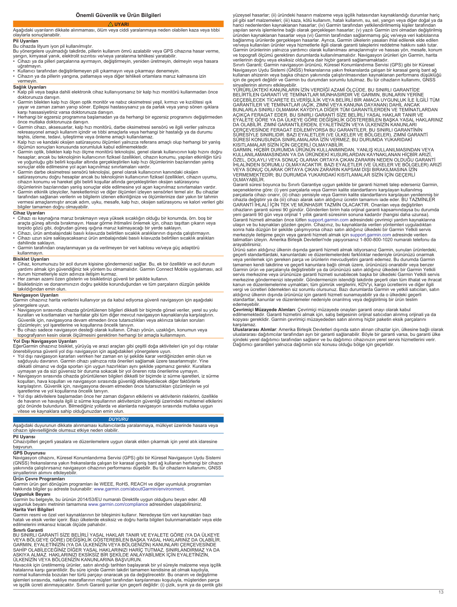**Önemli Güvenlik ve Ürün Bilgileri UYARI**

## <span id="page-12-0"></span>Aşağıdaki uyarıların dikkate alınmaması, ölüm veya ciddi yaralanmaya neden olabilen kaza veya tıbbi olaylarla sonuçlanabilir.

# **Pil Uyarıları**

# Bu cihazda lityum iyon pil kullanılmıştır.

Bu yönergelere uyulmadığı takdirde, pillerin kullanım ömrü azalabilir veya GPS cihazına hasar verme,<br>yangın, kimyasal yanık, elektrolit sızıntısı ve/veya yaralanma tehlikesi yaratabilir.<br>• Cihazı ya da pilleri parçaların

- 
- uğratmayın. Kullanıcı tarafından değiştirilemeyen pili çıkarmayın veya çıkarmayı denemeyin. Cihazın ya da pillerin yangına, patlamaya veya diğer tehlikeli ortamlara maruz kalmasına izin vermeyin.

# **Sağlık Uyarıları**

• Kalp pili veya başka dahili elektronik cihaz kullanıyorsanız bir kalp hızı monitörü kullanmadan önce

- doktorunuza danışın. Garmin bilekten kalp hızı ölçen optik monitör ve nabız oksimetresi yeşil, kırmızı ve kızılötesi ışık yayar ve zaman zaman yanıp söner. Epilepsi hastasıysanız ya da parlak veya yanıp sönen ışıklara karşı hassasiyetiniz varsa doktorunuza danışın.
- Herhangi bir egzersiz programına başlamadan ya da herhangi bir egzersiz programını değiştirmeden önce mutlaka doktorunuza danışın.
- Garmin cihazı, aksesuarlar, kalp hızı monitörü, darbe oksimetresi sensörü ve ilgili veriler yalnızca rekreasyonel amaçlı kullanım içindir ve tıbbi amaçlarla veya herhangi bir hastalığı ya da durumu<br>teşhis, izleme, tedavi, iyileştirme veya önleme amaçlı kullanılamaz.<br>• Kalp hızı ve kandaki oksijen satürasyonu ölçümleri yal
- 
- ölçümün sonuçları konusunda sorumluluk kabul edilmemektedir. Garmin optik, bilekten kalp hızı ölçme monitörü teknolojisi, genel olarak kullanıcının kalp hızını doğru hesaplar; ancak bu teknolojinin kullanıcının fiziksel özellikleri, cihazın konumu, yapılan etkinliğin türü<br>ve yoğunluğu gibi belirli koşullar altında gerçekleştirilen kalp hızı ölçümlerinin bazılarından yanlış<br>sonuçlar eld
- satürasyonunu doğru hesaplar ancak bu teknolojinin kullanıcının fiziksel özellikleri, cihazın uyumu,<br>cihazın konumu ve hareket gibi belirli koşullar altında gerçekleştirilen oksijen satürasyonu
- ölçümlerinin bazılarından yanlış sonuçlar elde edilmesine yol açan kaçınılmaz sınırlamaları vardır.<br>• Garmin etkinlik izleyiciler, hareketlerinizi ve diğer ölçümleri izleyen sensörleri temel alır. Bu cihazlar<br>• tarafından vermesi amaçlanmıştır ancak adım, uyku, mesafe, kalp hızı, oksijen satürasyonu ve kalori verileri gibi bilgiler tamamen doğru olmayabilir.

# **Cihaz Uyarıları**

- Cihazı ısı kaynağına maruz bırakmayın veya yüksek sıcaklığın olduğu bir konumda, örn. boş bir<br>araçta güneş altında bırakmayın. Hasar görme ihtimalini önlemek için, cihazı taşıtlan çıkarın veya<br>torpido gözü gibi, doğrudan
- Cihazı uzun süre saklayacaksanız ürün ambalajındaki basılı kılavuzda belirtilen sıcaklık aralıkları dahilinde saklayın.
- Garmin tarafından onaylanmayan ya da verilmeyen bir veri kablosu ve/veya güç adaptörü kullanmayın.

## **Bisiklet Uyarıları**

- Cihaz, konumunuzu bir acil durum kişisine göndermenizi sağlar. Bu, ek bir özelliktir ve acil durum<br> yardımı almak için güvendiğiniz tek yöntem bu olmamalıdır. Garmin Connect Mobile uygulaması, acil<br> durum hizmetleriyle
- Her zaman azami özen gösterin ve bisikletinizi güvenli bir şekilde kullanın. • Bisikletinizin ve donanımınızın doğru şekilde korunduğundan ve tüm parçaların düzgün şekilde takıldığından emin olun.

## **Navigasyon Uyarıları**

- Garmin cihazınız harita verilerini kullanıyor ya da kabul ediyorsa güvenli navigasyon için aşağıdaki yönergelere uyun.
- Navigasyon sırasında cihazda görüntülenen bilgileri dikkatli bir biçimde görsel veriler, yerel su yolu kuralları ve kısıtlamaları ve haritalar gibi tüm diğer mevcut navigasyon kaynaklarıyla karşılaştırın. Güvenlik için, navigasyona devam etmeden önce tutarsızlıkları veya aklınıza takılan soruları
- çözümleyin; yol işaretlerine ve koşullarına öncelik tanıyın. Bu cihazı sadece navigasyon desteği olarak kullanın. Cihazı yönün, uzaklığın, konumun veya topografyanın kesin olarak ölçülmesini gerektiren herhangi bir amaçla kullanmayın.

- **Yol Dışı Navigasyon Uyarıları**<br>EğerGarmin cihazınız bisiklet, yürüyüş ve arazi araçları gibi çeşitli doğa aktiviteleri için yol dışı rotalar<br>önerebiliyorsa güvenli yol dışı navigasyon için aşağıdakileri yönergelere uyun.<br>
- sağduyulu davranın. Garmin cihazı yalnızca rota önerileri sağlamak üzere tasarlanmıştır. Yine dikkatli olmanız ve doğa sporları için uygun hazırlıkları aynı şekilde yapmanız gerekir. Kurallara
- uymayan ya da sizi güvensiz bir duruma sokacak bir yol öneren rota önerilerine uymayın.<br>• Navigasyon sırasında cihazda görüntülenen bilgileri dikkatli bir biçimde iz sürme işaretleri, iz sürme<br>koşulları, hava koşulları ve
- işaretlerine ve yol koşullarına öncelik tanıyın.<br>• Yol dışı aktivitelere başlamadan önce her zaman doğanın etkilerini ve aktivitenin risklerini, özellikle<br>• de havanın ve havayla ilgili iz sürme koşullarının aktivitenizin göz önünde bulundurun. Bilmediğiniz yollarda ve alanlarda navigasyon sırasında mutlaka uygun vitese ve kaynaklara sahip olduğunuzdan emin olun.

## *DUYURU*

Aşağıdaki duyurunun dikkate alınmaması kullanıcılarda yaralanmaya, mülkiyet üzerinde hasara veya cihazın işlevselliğinde olumsuz etkiye neden olabilir.

# **Pil Uyarısı**

Cihazı/pilleri geçerli yasalara ve düzenlemelere uygun olarak elden çıkarmak için yerel atık idaresine başvurun.

# **GPS Duyurusu**

Navigasyon cihazını, Küresel Konumlandırma Servisi (GPS) gibi bir Küresel Navigasyon Uydu Sistemi<br>(GNSS) frekanslarına yakın frekanslarda çalışan bir karasal geniş bant ağ kullanan herhangi bir cihazın<br>yakınında çalıştırır sinyallerinin alımını etkileyebilir.

**Ürün Çevre Programları** Garmin ürün geri dönüşüm programları ile WEEE, RoHS, REACH ve diğer uyumluluk programları hakkında bilgiler şu adreste bulunabilir: [www.garmin.com/aboutGarmin/environment](http://www.garmin.com/aboutGarmin/environment).

### **Uygunluk Beyanı**

Garmin bu belgeyle, bu ürünün 2014/53/EU numaralı Direktife uygun olduğunu beyan eder. AB uygunluk beyanı metninin tamamına [www.garmin.com/compliance](http://www.garmin.com/compliance) adresinden ulaşabilirsiniz.

# **Harita Veri Bilgileri**

Garmin resmi ve özel veri kaynaklarının bir bileşimini kullanır. Neredeyse tüm veri kaynakları bazı hatalı ve eksik veriler içerir. Bazı ülkelerde eksiksiz ve doğru harita bilgileri bulunmamaktadır veya elde edilmelerini imkansız kılacak ölçüde pahalıdır.

### **Sınırlı Garanti**

BU SINIRLI GARANTİ SİZE BELİRLİ YASAL HAKLAR TANIR VE EYALETE GÖRE (YA DA ÜLKEYE VEYA BÖLGEYE GÖRE) DEĞİŞİKLİK GÖSTEREBİLEN BAŞKA YASAL HAKLARINIZ DA OLABİLİR. GARMIN, EYALETİNİZİN (YA DA ÜLKENİZİN VEYA BÖLGENİZİN) KANUNLARI ÇERÇEVESİNDE SAHİP OLABİLECEĞİNİZ DİĞER YASAL HAKLARINIZI HARİÇ TUTMAZ, SINIRLANDIRMAZ YA DA<br>ASKIYA ALMAZ. HAKLARINIZI EKSİKSİZ BİR ŞEKİLDE ANLAYABİLMEK İÇİN EYALETİNİZİN,<br>ÜLKENIZIN VEYA BÖLGENIZIN KANUNLARINA BAŞVURUN.<br>Havacılık için

işlemleri sırasında, nakliye masraflarının müşteri tarafından karşılanması koşuluyla, müşteriden parça<br>ve işçilik ücreti alınmayacaktır. Sınırlı Garanti şunlar için geçerli değildir: (i) çizik, sıyrık ya da çentik gibi

yüzeysel hasarlar; (ii) üründeki hasarın malzeme veya işçilik hatasından kaynaklandığı durumlar hariç pil gibi sarf malzemeleri; (iii) kaza, kötü kullanım, hatalı kullanım, su, sel, yangın veya diğer doğal ya da harici nedenlerden kaynaklanan hasarlar; (iv) Garmin tarafından yetkilendirilmemiş kişiler tarafından<br>yapılan servis işlemlerine bağlı olarak gerçekleşen hasarlar; (v) yazılı Garmin izni olmadan değiştirilmiş<br>üründen kayna Garmin ürünlerinin yalnızca yardımcı olarak kullanılması amaçlanmıştır ve hassas yön, mesafe, konum ve topografi ölçümü gerektiren durumlarda kullanılmamalıdır. Navigasyon ürünleri için Garmin, harita

verilerinin doğru veya eksiksiz olduğuna dair hiçbir garanti sağlamamaktadır. Sınırlı Garanti; Garmin navigasyon ürününü, Küresel Konumlandırma Servisi (GPS) gibi bir Küresel Navigasyon Uydu Sistemi (GNSS) frekanslarına yakın frekanslarda çalışan bir karasal geniş bant ağ kullanan ahizenin veya başka cihazın yakınında çalıştırılmasından kaynaklanan performans düşüklüğü için de geçerli değildir ve Garmin bu durumdan sorumlu tutulmaz. Bu tür cihazların kullanımı, GNSS<br>sinyallerinin alımını etkileyebilir.<br>YÜRÜRLÜKTEKİ KANUNLARIN IZİN VERDİĞİ AZAMİ ÖLÇÜDE, BU SINIRLI GARANTİDE

BELIRTILEN GARANTI VE TEMINATLAR MÜNHASIRDIR VE GARMIN, BUNLARIN YERINE<br>GEÇEBILECEK TICARETE ELVERIŞLILIK VEYA BELIRLI BIR AMACA UYGUNLUK İLE İLGİLI TÜM<br>GARANTILER VE TEMINATLAR (AÇIK, ZIMNI VEYA KANUNA DAYANAN) DAHİL ANCA AÇIKÇA FERAGAT EDER. BU SINIRLI GARANTİ SİZE BELİRLİ YASAL HAKLAR TANIR VE EYALETE GÖRE YA DA ÜLKEYE GÖRE DEĞİŞİKLİK GÖSTEREBİLEN BAŞKA YASAL HAKLARINIZ DA OLABILIR. ZIMNI GARANTILERDEN, EYALETINIZIN VEYA ÜLKENIZIN KANUNLARI<br>ÇERÇEVESİNDE FERAGAT EDİLEMİYORSA BU GARANTILER, BU SINIRLI GARANTINİN<br>SÜRESİYLE SINIRLIDIR. BAZI EYALETLER (VE ÜLKELER VE BÖLGELER), ZIMNİ GARANTİ<br>SÜ

KISITLAMALAR SIZIN İÇIN GEÇERLİ OLMAYABILIR.<br>GARMIN, HİÇBİR DURUMDA ÜRÜNÜN KULLANIMINDAN, YANLIŞ KULLANILMASINDAN VEYA<br>KULLANILAMAMASINDAN YA DA ÜRÜNDEKİ KUSURLARDAN KAYNAKLANAN HİÇBİR ARIZİ, ÖZEL, DOLAYLI VEYA SONUÇ OLARAK ORTAYA ÇIKAN ZARARIN NEDEN OLDUĞU GARANTİ<br>İHLALİNDEN SORUMLU OLMAYACAKTIR. BAZI EYALETLER (VE ÜLKELER VE BÖLGELER) ARIZİ VEYA SONUÇ OLARAK ORTAYA ÇIKAN ZARARIN KAPSAM DIŞI BIRAKILMASINA İZİN VERMEMEKTEDİR; BU DURUMDA YUKARIDAKİ KISITLAMALAR SİZİN İÇİN GEÇERLİ OLMAYABİLİR.

Garanti süresi boyunca bu Sınırlı Garantiye uygun şekilde bir garanti hizmeti talep ederseniz Garmin,<br>seçeneklerine göre: (i) yeni parçalarla veya Garmin kalite standartlarını karşılayan kullanılmış<br>parçalarla cihazı onarı cihazla değiştirir ya da (iii) cihazı alarak satın aldığınız ücretin tamamını iade eder. BU TAZMİNLER<br>GARANTİ İHLALİ İÇİN TEK VE MÜNHASIR TAZMİN OLACAKTIR. Onarılan veya değiştirilen cihazların garanti süresi 90 gündür. Gönderilen birim hala orijinal garanti kapsamındaysa bu durumda<br>yeni garanti 90 gün veya orijinal 1 yıllık garanti süresinin sonuna kadardır (hangisi daha uzunsa). Garanti hizmeti almadan önce lütfen [support.garmin.com](http://www.support.garmin.com) adresindeki çevrimiçi yardım kaynaklarına<br>ulaşın ve bu kaynakları gözden geçirin. Cihazınız, bu kaynaklarda verilen yöntemleri uyguladıkları<br>sonra hala düzgün bir şeki talimatları izleyin. Amerika Birleşik Devletleri'nde yaşıyorsanız 1-800-800-1020 numaralı telefonu da arayabilirsiniz.

Ürünü satın aldığınız ülkenin dışında garanti hizmeti almak istiyorsanız Garmin, sunulan ürünlerdeki,<br>geçerli standartlardaki, kanunlardaki ve düzenlemelerdeki farklılıklar nedeniyle ürününüzü onarmak<br>veya yenilemek için g tamamen kendi takdirine ve geçerli kanunlara bağlı olmak üzere, ürününüzü onarabilir veya benzer Garmin ürün ve parçalarıyla değiştirebilir ya da ürününüzü satın aldığınız ülkedeki bir Garmin Yetkili<br>servis merkezine veya ürününüze garanti hizmeti sunabilecek başka bir ülkedeki Garmin Yetkili servis<br>merkezine gönderme aldığınız ülkenin dışında ürününüz için garanti hizmeti sunamayabilir ya da o ülkedeki geçerli standartlar, kanunlar ve düzenlemeler nedeniyle onarılmış veya değiştirilmiş bir ürün teslim edemeyebilir.

**Çevrimiçi Müzayede Alımları**: Çevrimiçi müzayede onayları garanti onayı olarak kabul edilmemektedir. Garanti hizmetini almak için, satış belgesinin orijinal satıcıdan alınmış orijinali ya da kopyası gereklidir. Garmin çevrimiçi müzayededen satın alınmış hiçbir paketin eksik parçalarını karşılamaz.

**Uluslararası Alımlar**: Amerika Birleşik Devletleri dışında satın alınan cihazlar için, ülkesine bağlı olarak<br>uluslararası dağıtımcılar tarafından ayrı bir garanti sağlanabilir. Böyle bir garanti varsa, bu garanti ülke<br>içi